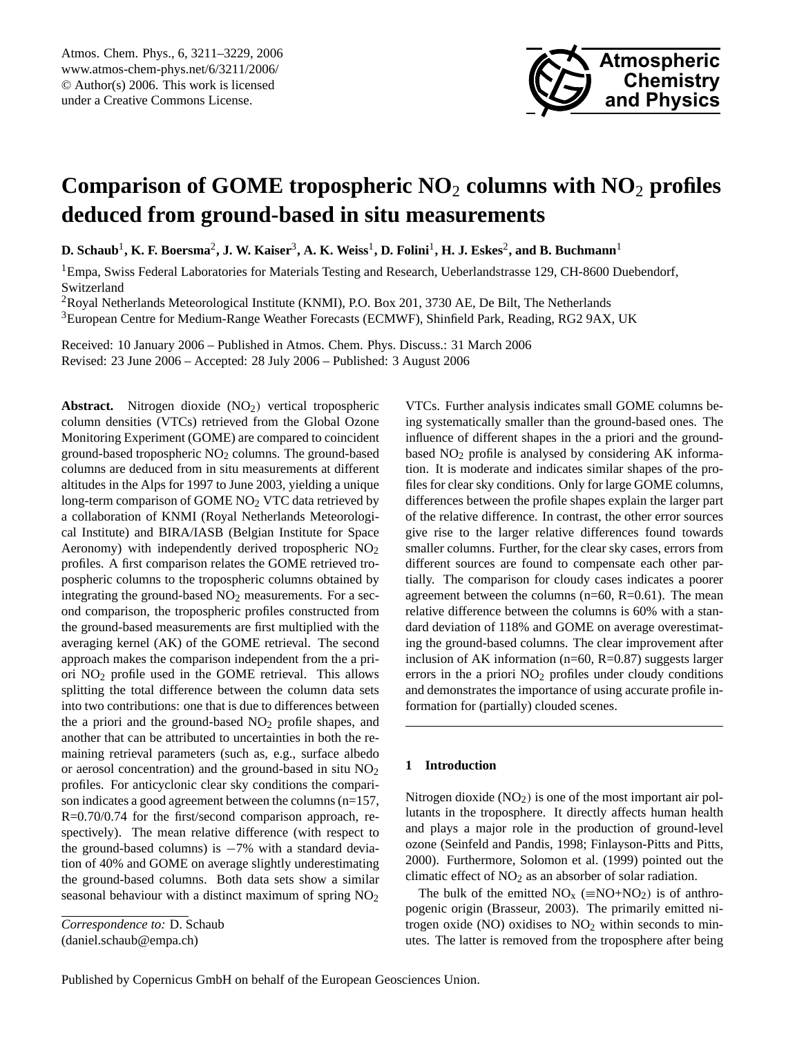

# **Comparison of GOME tropospheric NO**<sup>2</sup> **columns with NO**<sup>2</sup> **profiles deduced from ground-based in situ measurements**

 ${\bf D.~Schaub}^1,$  **K.** F. Boersma<sup>2</sup>, J. W. Kaiser $^3,$  A. K. Weiss $^1,$  D. Folini $^1,$  H. J. Eskes $^2,$  and B. Buchmann $^1$ 

<sup>1</sup>Empa, Swiss Federal Laboratories for Materials Testing and Research, Ueberlandstrasse 129, CH-8600 Duebendorf, Switzerland

<sup>2</sup>Royal Netherlands Meteorological Institute (KNMI), P.O. Box 201, 3730 AE, De Bilt, The Netherlands

<sup>3</sup>European Centre for Medium-Range Weather Forecasts (ECMWF), Shinfield Park, Reading, RG2 9AX, UK

Received: 10 January 2006 – Published in Atmos. Chem. Phys. Discuss.: 31 March 2006 Revised: 23 June 2006 – Accepted: 28 July 2006 – Published: 3 August 2006

Abstract. Nitrogen dioxide (NO<sub>2</sub>) vertical tropospheric column densities (VTCs) retrieved from the Global Ozone Monitoring Experiment (GOME) are compared to coincident ground-based tropospheric NO<sup>2</sup> columns. The ground-based columns are deduced from in situ measurements at different altitudes in the Alps for 1997 to June 2003, yielding a unique long-term comparison of GOME NO<sub>2</sub> VTC data retrieved by a collaboration of KNMI (Royal Netherlands Meteorological Institute) and BIRA/IASB (Belgian Institute for Space Aeronomy) with independently derived tropospheric NO<sup>2</sup> profiles. A first comparison relates the GOME retrieved tropospheric columns to the tropospheric columns obtained by integrating the ground-based  $NO<sub>2</sub>$  measurements. For a second comparison, the tropospheric profiles constructed from the ground-based measurements are first multiplied with the averaging kernel (AK) of the GOME retrieval. The second approach makes the comparison independent from the a priori  $NO<sub>2</sub>$  profile used in the GOME retrieval. This allows splitting the total difference between the column data sets into two contributions: one that is due to differences between the a priori and the ground-based  $NO<sub>2</sub>$  profile shapes, and another that can be attributed to uncertainties in both the remaining retrieval parameters (such as, e.g., surface albedo or aerosol concentration) and the ground-based in situ  $NO<sub>2</sub>$ profiles. For anticyclonic clear sky conditions the comparison indicates a good agreement between the columns (n=157, R=0.70/0.74 for the first/second comparison approach, respectively). The mean relative difference (with respect to the ground-based columns) is  $-7\%$  with a standard deviation of 40% and GOME on average slightly underestimating the ground-based columns. Both data sets show a similar seasonal behaviour with a distinct maximum of spring  $NO<sub>2</sub>$ 

*Correspondence to:* D. Schaub

<span id="page-0-0"></span>(daniel.schaub@empa.ch)

VTCs. Further analysis indicates small GOME columns being systematically smaller than the ground-based ones. The influence of different shapes in the a priori and the groundbased NO<sub>2</sub> profile is analysed by considering AK information. It is moderate and indicates similar shapes of the profiles for clear sky conditions. Only for large GOME columns, differences between the profile shapes explain the larger part of the relative difference. In contrast, the other error sources give rise to the larger relative differences found towards smaller columns. Further, for the clear sky cases, errors from different sources are found to compensate each other partially. The comparison for cloudy cases indicates a poorer agreement between the columns ( $n=60$ ,  $R=0.61$ ). The mean relative difference between the columns is 60% with a standard deviation of 118% and GOME on average overestimating the ground-based columns. The clear improvement after inclusion of AK information (n=60, R=0.87) suggests larger errors in the a priori  $NO<sub>2</sub>$  profiles under cloudy conditions and demonstrates the importance of using accurate profile information for (partially) clouded scenes.

## **1 Introduction**

Nitrogen dioxide  $(NO<sub>2</sub>)$  is one of the most important air pollutants in the troposphere. It directly affects human health and plays a major role in the production of ground-level ozone (Seinfeld and Pandis, 1998; Finlayson-Pitts and Pitts, 2000). Furthermore, Solomon et al. (1999) pointed out the climatic effect of  $NO<sub>2</sub>$  as an absorber of solar radiation.

The bulk of the emitted  $NO_x$  ( $\equiv NO+NO_2$ ) is of anthropogenic origin (Brasseur, 2003). The primarily emitted nitrogen oxide (NO) oxidises to  $NO<sub>2</sub>$  within seconds to minutes. The latter is removed from the troposphere after being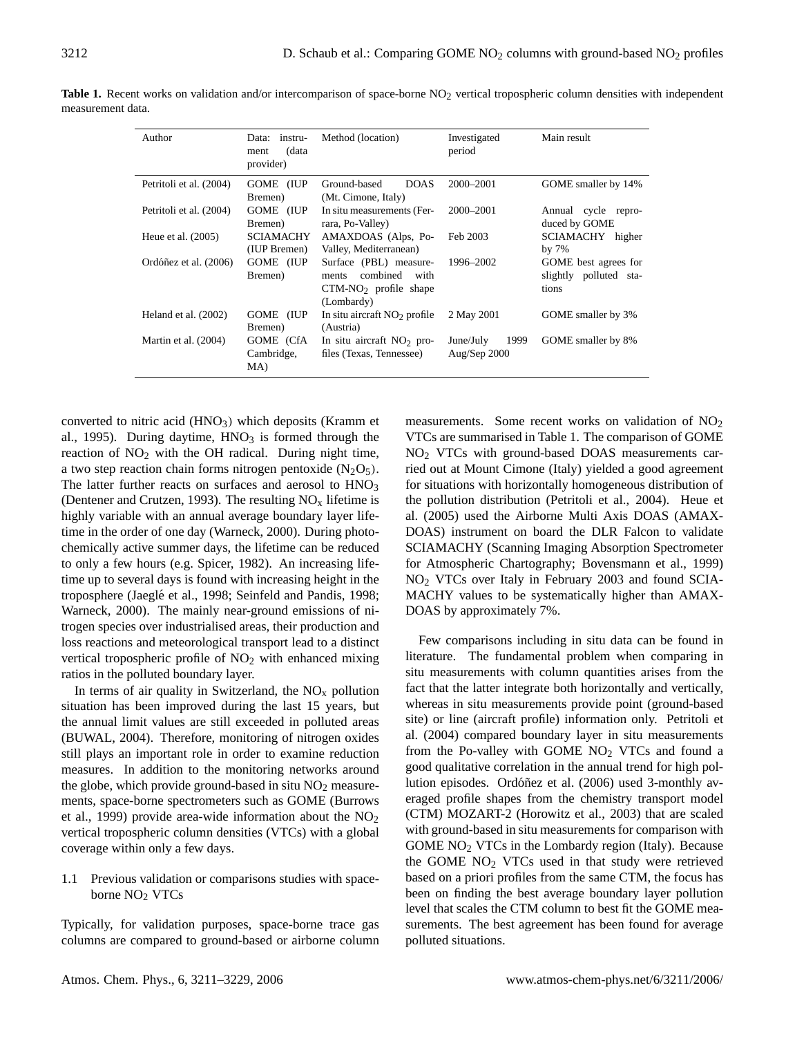| Author                  | instru-<br>Data:<br>(data<br>ment<br>provider) | Method (location)                                                                            | Investigated<br>period            | Main result                                             |  |  |
|-------------------------|------------------------------------------------|----------------------------------------------------------------------------------------------|-----------------------------------|---------------------------------------------------------|--|--|
| Petritoli et al. (2004) | GOME (IUP<br>Bremen)                           | <b>DOAS</b><br>Ground-based<br>(Mt. Cimone, Italy)                                           | 2000-2001                         | GOME smaller by 14%                                     |  |  |
| Petritoli et al. (2004) | GOME (IUP<br>Bremen)                           | In situ measurements (Fer-<br>rara, Po-Valley)                                               | 2000–2001                         | Annual cycle repro-<br>duced by GOME                    |  |  |
| Heue et al. $(2005)$    | SCIAMACHY<br>(IUP Bremen)                      | AMAXDOAS (Alps, Po-<br>Valley, Mediterranean)                                                | Feb 2003                          | SCIAMACHY higher<br>by $7%$                             |  |  |
| Ordóñez et al. (2006)   | GOME (IUP<br>Bremen)                           | Surface (PBL) measure-<br>combined<br>with<br>ments<br>$CTM-NO2$ profile shape<br>(Lombardy) | 1996–2002                         | GOME best agrees for<br>slightly polluted sta-<br>tions |  |  |
| Heland et al. (2002)    | GOME<br>(IUP)<br>Bremen)                       | In situ aircraft $NO2$ profile<br>(Austria)                                                  | 2 May 2001                        | GOME smaller by 3%                                      |  |  |
| Martin et al. (2004)    | GOME (CfA)<br>Cambridge,<br>MA)                | In situ aircraft $NO2$ pro-<br>files (Texas, Tennessee)                                      | 1999<br>June/July<br>Aug/Sep 2000 | GOME smaller by 8%                                      |  |  |

Table 1. Recent works on validation and/or intercomparison of space-borne NO<sub>2</sub> vertical tropospheric column densities with independent measurement data.

converted to nitric acid  $(HNO<sub>3</sub>)$  which deposits (Kramm et al., 1995). During daytime,  $HNO<sub>3</sub>$  is formed through the reaction of  $NO<sub>2</sub>$  with the OH radical. During night time, a two step reaction chain forms nitrogen pentoxide  $(N_2O_5)$ . The latter further reacts on surfaces and aerosol to HNO<sub>3</sub> (Dentener and Crutzen, 1993). The resulting  $NO<sub>x</sub>$  lifetime is highly variable with an annual average boundary layer lifetime in the order of one day (Warneck, 2000). During photochemically active summer days, the lifetime can be reduced to only a few hours (e.g. Spicer, 1982). An increasing lifetime up to several days is found with increasing height in the troposphere (Jaeglé et al., 1998; Seinfeld and Pandis, 1998; Warneck, 2000). The mainly near-ground emissions of nitrogen species over industrialised areas, their production and loss reactions and meteorological transport lead to a distinct vertical tropospheric profile of  $NO<sub>2</sub>$  with enhanced mixing ratios in the polluted boundary layer.

In terms of air quality in Switzerland, the  $NO<sub>x</sub>$  pollution situation has been improved during the last 15 years, but the annual limit values are still exceeded in polluted areas (BUWAL, 2004). Therefore, monitoring of nitrogen oxides still plays an important role in order to examine reduction measures. In addition to the monitoring networks around the globe, which provide ground-based in situ NO<sub>2</sub> measurements, space-borne spectrometers such as GOME (Burrows et al., 1999) provide area-wide information about the  $NO<sub>2</sub>$ vertical tropospheric column densities (VTCs) with a global coverage within only a few days.

1.1 Previous validation or comparisons studies with spaceborne NO<sup>2</sup> VTCs

Typically, for validation purposes, space-borne trace gas columns are compared to ground-based or airborne column measurements. Some recent works on validation of  $NO<sub>2</sub>$ VTCs are summarised in Table 1. The comparison of GOME NO<sup>2</sup> VTCs with ground-based DOAS measurements carried out at Mount Cimone (Italy) yielded a good agreement for situations with horizontally homogeneous distribution of the pollution distribution (Petritoli et al., 2004). Heue et al. (2005) used the Airborne Multi Axis DOAS (AMAX-DOAS) instrument on board the DLR Falcon to validate SCIAMACHY (Scanning Imaging Absorption Spectrometer for Atmospheric Chartography; Bovensmann et al., 1999) NO<sup>2</sup> VTCs over Italy in February 2003 and found SCIA-MACHY values to be systematically higher than AMAX-DOAS by approximately 7%.

Few comparisons including in situ data can be found in literature. The fundamental problem when comparing in situ measurements with column quantities arises from the fact that the latter integrate both horizontally and vertically, whereas in situ measurements provide point (ground-based site) or line (aircraft profile) information only. Petritoli et al. (2004) compared boundary layer in situ measurements from the Po-valley with GOME  $NO<sub>2</sub>$  VTCs and found a good qualitative correlation in the annual trend for high pollution episodes. Ordóñez et al. (2006) used 3-monthly averaged profile shapes from the chemistry transport model (CTM) MOZART-2 (Horowitz et al., 2003) that are scaled with ground-based in situ measurements for comparison with GOME  $NO<sub>2</sub> VTCs$  in the Lombardy region (Italy). Because the GOME  $NO<sub>2</sub> VTCs$  used in that study were retrieved based on a priori profiles from the same CTM, the focus has been on finding the best average boundary layer pollution level that scales the CTM column to best fit the GOME measurements. The best agreement has been found for average polluted situations.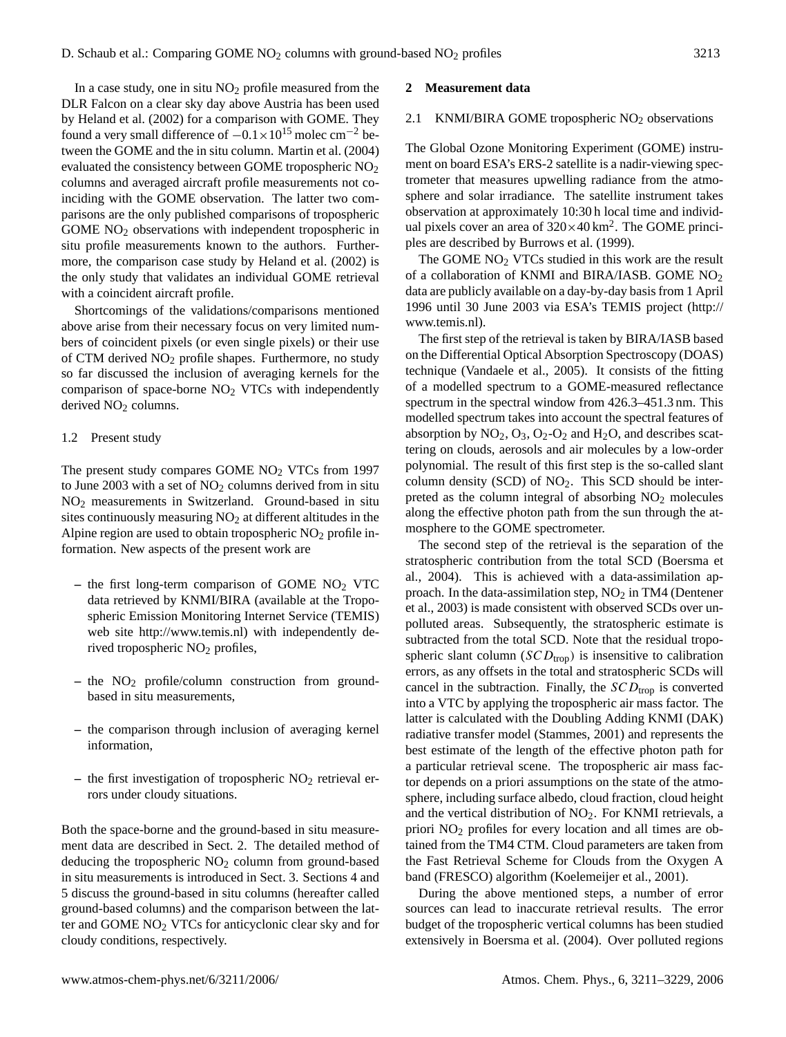In a case study, one in situ  $NO<sub>2</sub>$  profile measured from the DLR Falcon on a clear sky day above Austria has been used by Heland et al. (2002) for a comparison with GOME. They found a very small difference of  $-0.1 \times 10^{15}$  molec cm<sup>-2</sup> between the GOME and the in situ column. Martin et al. (2004) evaluated the consistency between GOME tropospheric NO<sup>2</sup> columns and averaged aircraft profile measurements not coinciding with the GOME observation. The latter two comparisons are the only published comparisons of tropospheric GOME NO<sub>2</sub> observations with independent tropospheric in situ profile measurements known to the authors. Furthermore, the comparison case study by Heland et al. (2002) is the only study that validates an individual GOME retrieval with a coincident aircraft profile.

Shortcomings of the validations/comparisons mentioned above arise from their necessary focus on very limited numbers of coincident pixels (or even single pixels) or their use of CTM derived NO<sup>2</sup> profile shapes. Furthermore, no study so far discussed the inclusion of averaging kernels for the comparison of space-borne  $NO<sub>2</sub> VTCs$  with independently derived NO<sub>2</sub> columns.

#### 1.2 Present study

The present study compares GOME  $NO<sub>2</sub> VTCs$  from 1997 to June 2003 with a set of  $NO<sub>2</sub>$  columns derived from in situ NO<sup>2</sup> measurements in Switzerland. Ground-based in situ sites continuously measuring  $NO<sub>2</sub>$  at different altitudes in the Alpine region are used to obtain tropospheric  $NO<sub>2</sub>$  profile information. New aspects of the present work are

- **–** the first long-term comparison of GOME NO<sup>2</sup> VTC data retrieved by KNMI/BIRA (available at the Tropospheric Emission Monitoring Internet Service (TEMIS) web site [http://www.temis.nl\)](http://www.temis.nl) with independently derived tropospheric NO<sub>2</sub> profiles,
- **–** the NO<sup>2</sup> profile/column construction from groundbased in situ measurements,
- **–** the comparison through inclusion of averaging kernel information,
- $-$  the first investigation of tropospheric  $NO<sub>2</sub>$  retrieval errors under cloudy situations.

Both the space-borne and the ground-based in situ measurement data are described in Sect. 2. The detailed method of deducing the tropospheric  $NO<sub>2</sub>$  column from ground-based in situ measurements is introduced in Sect. 3. Sections 4 and 5 discuss the ground-based in situ columns (hereafter called ground-based columns) and the comparison between the latter and GOME NO<sup>2</sup> VTCs for anticyclonic clear sky and for cloudy conditions, respectively.

#### **2 Measurement data**

#### 2.1 KNMI/BIRA GOME tropospheric NO<sub>2</sub> observations

The Global Ozone Monitoring Experiment (GOME) instrument on board ESA's ERS-2 satellite is a nadir-viewing spectrometer that measures upwelling radiance from the atmosphere and solar irradiance. The satellite instrument takes observation at approximately 10:30 h local time and individual pixels cover an area of  $320 \times 40$  km<sup>2</sup>. The GOME principles are described by Burrows et al. (1999).

The GOME  $NO<sub>2</sub> VTCs$  studied in this work are the result of a collaboration of KNMI and BIRA/IASB. GOME NO<sup>2</sup> data are publicly available on a day-by-day basis from 1 April 1996 until 30 June 2003 via ESA's TEMIS project [\(http://](http://www.temis.nl) [www.temis.nl\)](http://www.temis.nl).

The first step of the retrieval is taken by BIRA/IASB based on the Differential Optical Absorption Spectroscopy (DOAS) technique (Vandaele et al., 2005). It consists of the fitting of a modelled spectrum to a GOME-measured reflectance spectrum in the spectral window from 426.3–451.3 nm. This modelled spectrum takes into account the spectral features of absorption by  $NO_2$ ,  $O_3$ ,  $O_2$ - $O_2$  and  $H_2O$ , and describes scattering on clouds, aerosols and air molecules by a low-order polynomial. The result of this first step is the so-called slant column density (SCD) of  $NO<sub>2</sub>$ . This SCD should be interpreted as the column integral of absorbing  $NO<sub>2</sub>$  molecules along the effective photon path from the sun through the atmosphere to the GOME spectrometer.

The second step of the retrieval is the separation of the stratospheric contribution from the total SCD (Boersma et al., 2004). This is achieved with a data-assimilation approach. In the data-assimilation step,  $NO<sub>2</sub>$  in TM4 (Dentener et al., 2003) is made consistent with observed SCDs over unpolluted areas. Subsequently, the stratospheric estimate is subtracted from the total SCD. Note that the residual tropospheric slant column ( $SCD_{trop}$ ) is insensitive to calibration errors, as any offsets in the total and stratospheric SCDs will cancel in the subtraction. Finally, the  $SCD_{\text{trop}}$  is converted into a VTC by applying the tropospheric air mass factor. The latter is calculated with the Doubling Adding KNMI (DAK) radiative transfer model (Stammes, 2001) and represents the best estimate of the length of the effective photon path for a particular retrieval scene. The tropospheric air mass factor depends on a priori assumptions on the state of the atmosphere, including surface albedo, cloud fraction, cloud height and the vertical distribution of  $NO<sub>2</sub>$ . For KNMI retrievals, a priori NO<sup>2</sup> profiles for every location and all times are obtained from the TM4 CTM. Cloud parameters are taken from the Fast Retrieval Scheme for Clouds from the Oxygen A band (FRESCO) algorithm (Koelemeijer et al., 2001).

During the above mentioned steps, a number of error sources can lead to inaccurate retrieval results. The error budget of the tropospheric vertical columns has been studied extensively in Boersma et al. (2004). Over polluted regions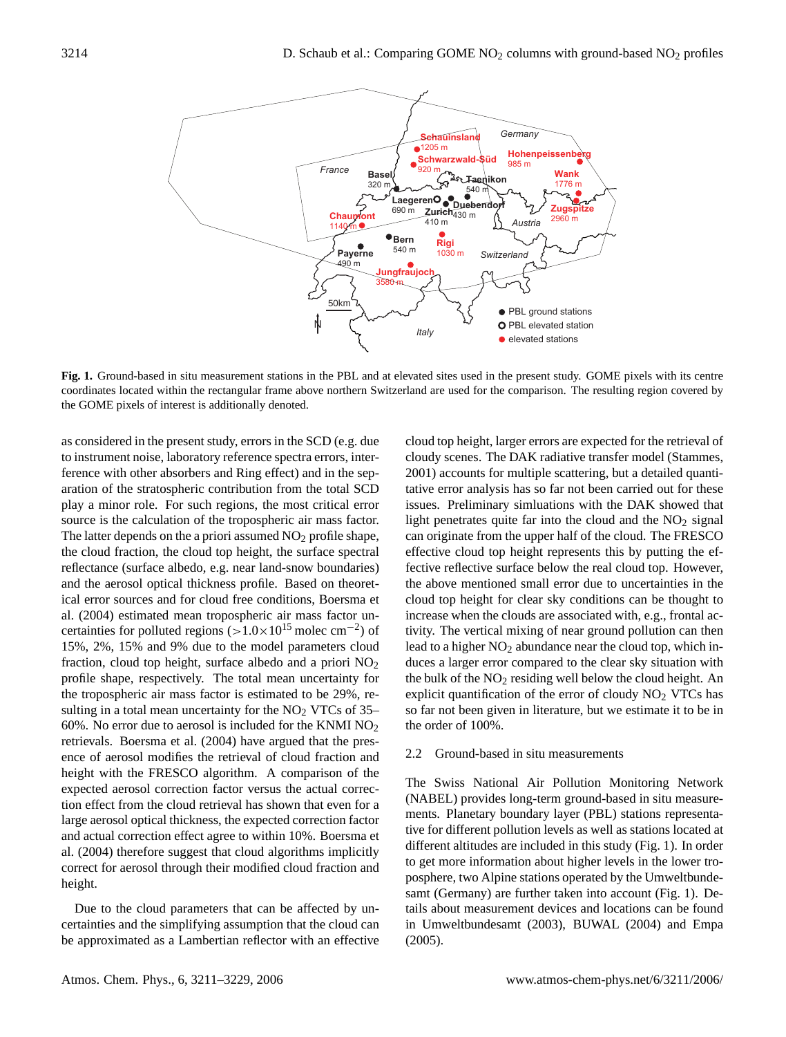

**Fig. 1.** Ground-based in situ measurement stations in the PBL and at elevated sites used in the present study. GOME pixels with its centre coordinates located within the rectangular frame above northern Switzerland are used for the comparison. The resulting region covered by the GOME pixels of interest is additionally denoted.

as considered in the present study, errors in the SCD (e.g. due to instrument noise, laboratory reference spectra errors, interference with other absorbers and Ring effect) and in the separation of the stratospheric contribution from the total SCD play a minor role. For such regions, the most critical error source is the calculation of the tropospheric air mass factor. The latter depends on the a priori assumed  $NO<sub>2</sub>$  profile shape, the cloud fraction, the cloud top height, the surface spectral reflectance (surface albedo, e.g. near land-snow boundaries) and the aerosol optical thickness profile. Based on theoretical error sources and for cloud free conditions, Boersma et al. (2004) estimated mean tropospheric air mass factor uncertainties for polluted regions  $(>1.0 \times 10^{15} \text{ molec cm}^{-2})$  of 15%, 2%, 15% and 9% due to the model parameters cloud fraction, cloud top height, surface albedo and a priori  $NO<sub>2</sub>$ profile shape, respectively. The total mean uncertainty for the tropospheric air mass factor is estimated to be 29%, resulting in a total mean uncertainty for the  $NO<sub>2</sub> VTCs$  of 35– 60%. No error due to aerosol is included for the KNMI  $NO<sub>2</sub>$ retrievals. Boersma et al. (2004) have argued that the presence of aerosol modifies the retrieval of cloud fraction and height with the FRESCO algorithm. A comparison of the expected aerosol correction factor versus the actual correction effect from the cloud retrieval has shown that even for a large aerosol optical thickness, the expected correction factor and actual correction effect agree to within 10%. Boersma et al. (2004) therefore suggest that cloud algorithms implicitly correct for aerosol through their modified cloud fraction and height.

Due to the cloud parameters that can be affected by uncertainties and the simplifying assumption that the cloud can be approximated as a Lambertian reflector with an effective cloud top height, larger errors are expected for the retrieval of cloudy scenes. The DAK radiative transfer model (Stammes, 2001) accounts for multiple scattering, but a detailed quantitative error analysis has so far not been carried out for these issues. Preliminary simluations with the DAK showed that light penetrates quite far into the cloud and the  $NO<sub>2</sub>$  signal can originate from the upper half of the cloud. The FRESCO effective cloud top height represents this by putting the effective reflective surface below the real cloud top. However, the above mentioned small error due to uncertainties in the cloud top height for clear sky conditions can be thought to increase when the clouds are associated with, e.g., frontal activity. The vertical mixing of near ground pollution can then lead to a higher  $NO<sub>2</sub>$  abundance near the cloud top, which induces a larger error compared to the clear sky situation with the bulk of the  $NO<sub>2</sub>$  residing well below the cloud height. An explicit quantification of the error of cloudy  $NO<sub>2</sub> VTCs$  has so far not been given in literature, but we estimate it to be in the order of 100%.

## 2.2 Ground-based in situ measurements

The Swiss National Air Pollution Monitoring Network (NABEL) provides long-term ground-based in situ measurements. Planetary boundary layer (PBL) stations representative for different pollution levels as well as stations located at different altitudes are included in this study (Fig. 1). In order to get more information about higher levels in the lower troposphere, two Alpine stations operated by the Umweltbundesamt (Germany) are further taken into account (Fig. 1). Details about measurement devices and locations can be found in Umweltbundesamt (2003), BUWAL (2004) and Empa (2005).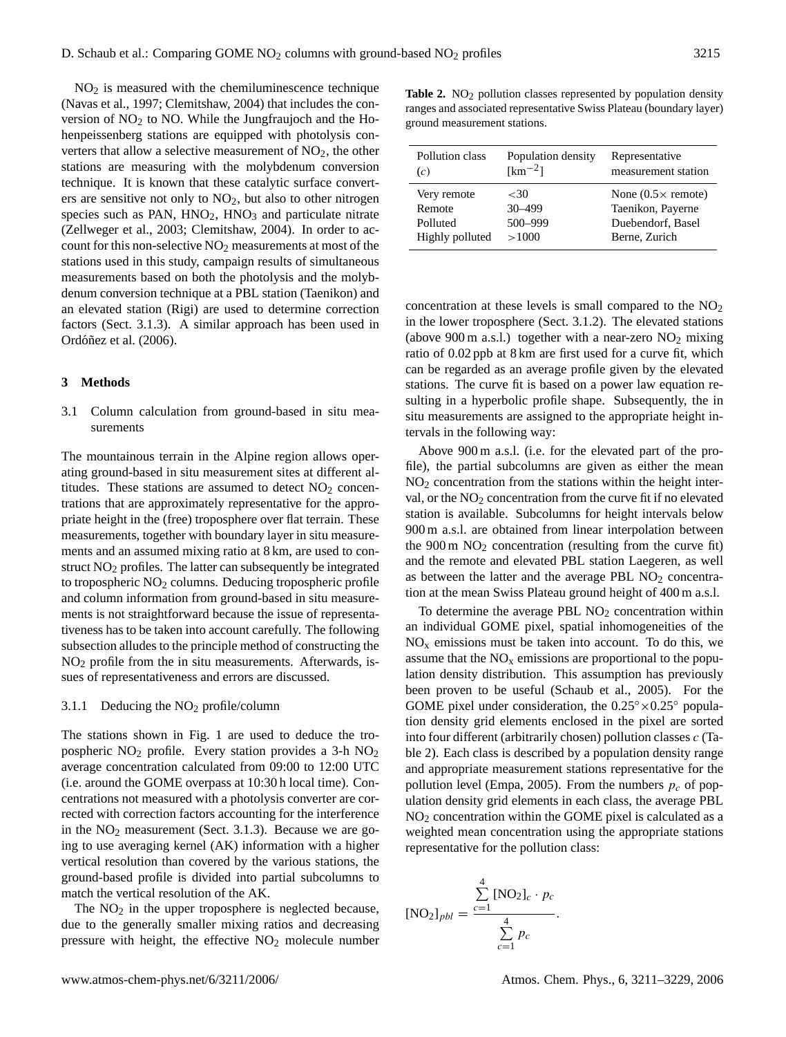$NO<sub>2</sub>$  is measured with the chemiluminescence technique (Navas et al., 1997; Clemitshaw, 2004) that includes the conversion of  $NO<sub>2</sub>$  to NO. While the Jungfraujoch and the Hohenpeissenberg stations are equipped with photolysis converters that allow a selective measurement of  $NO<sub>2</sub>$ , the other stations are measuring with the molybdenum conversion technique. It is known that these catalytic surface converters are sensitive not only to  $NO<sub>2</sub>$ , but also to other nitrogen species such as PAN,  $HNO<sub>2</sub>$ ,  $HNO<sub>3</sub>$  and particulate nitrate (Zellweger et al., 2003; Clemitshaw, 2004). In order to account for this non-selective  $NO<sub>2</sub>$  measurements at most of the stations used in this study, campaign results of simultaneous measurements based on both the photolysis and the molybdenum conversion technique at a PBL station (Taenikon) and an elevated station (Rigi) are used to determine correction factors (Sect. 3.1.3). A similar approach has been used in Ordóñez et al. (2006).

## **3 Methods**

3.1 Column calculation from ground-based in situ measurements

The mountainous terrain in the Alpine region allows operating ground-based in situ measurement sites at different altitudes. These stations are assumed to detect  $NO<sub>2</sub>$  concentrations that are approximately representative for the appropriate height in the (free) troposphere over flat terrain. These measurements, together with boundary layer in situ measurements and an assumed mixing ratio at 8 km, are used to construct NO<sub>2</sub> profiles. The latter can subsequently be integrated to tropospheric NO<sup>2</sup> columns. Deducing tropospheric profile and column information from ground-based in situ measurements is not straightforward because the issue of representativeness has to be taken into account carefully. The following subsection alludes to the principle method of constructing the NO<sup>2</sup> profile from the in situ measurements. Afterwards, issues of representativeness and errors are discussed.

## 3.1.1 Deducing the  $NO<sub>2</sub>$  profile/column

The stations shown in Fig. 1 are used to deduce the tropospheric NO<sup>2</sup> profile. Every station provides a 3-h NO<sup>2</sup> average concentration calculated from 09:00 to 12:00 UTC (i.e. around the GOME overpass at 10:30 h local time). Concentrations not measured with a photolysis converter are corrected with correction factors accounting for the interference in the  $NO<sub>2</sub>$  measurement (Sect. 3.1.3). Because we are going to use averaging kernel (AK) information with a higher vertical resolution than covered by the various stations, the ground-based profile is divided into partial subcolumns to match the vertical resolution of the AK.

The  $NO<sub>2</sub>$  in the upper troposphere is neglected because, due to the generally smaller mixing ratios and decreasing pressure with height, the effective NO<sub>2</sub> molecule number

Table 2. NO<sub>2</sub> pollution classes represented by population density ranges and associated representative Swiss Plateau (boundary layer) ground measurement stations.

| Pollution class | Population density | Representative             |
|-----------------|--------------------|----------------------------|
| (c)             | $[km^{-2}]$        | measurement station        |
| Very remote     | ${<}30$            | None $(0.5 \times$ remote) |
| Remote          | $30 - 499$         | Taenikon, Payerne          |
| Polluted        | 500-999            | Duebendorf, Basel          |
| Highly polluted | >1000              | Berne, Zurich              |

concentration at these levels is small compared to the  $NO<sub>2</sub>$ in the lower troposphere (Sect. 3.1.2). The elevated stations (above 900 m a.s.l.) together with a near-zero  $NO<sub>2</sub>$  mixing ratio of 0.02 ppb at 8 km are first used for a curve fit, which can be regarded as an average profile given by the elevated stations. The curve fit is based on a power law equation resulting in a hyperbolic profile shape. Subsequently, the in situ measurements are assigned to the appropriate height intervals in the following way:

Above 900 m a.s.l. (i.e. for the elevated part of the profile), the partial subcolumns are given as either the mean  $NO<sub>2</sub>$  concentration from the stations within the height interval, or the  $NO<sub>2</sub>$  concentration from the curve fit if no elevated station is available. Subcolumns for height intervals below 900 m a.s.l. are obtained from linear interpolation between the  $900 \text{ m } \text{NO}_2$  concentration (resulting from the curve fit) and the remote and elevated PBL station Laegeren, as well as between the latter and the average PBL  $NO<sub>2</sub>$  concentration at the mean Swiss Plateau ground height of 400 m a.s.l.

To determine the average PBL  $NO<sub>2</sub>$  concentration within an individual GOME pixel, spatial inhomogeneities of the  $NO<sub>x</sub>$  emissions must be taken into account. To do this, we assume that the  $NO<sub>x</sub>$  emissions are proportional to the population density distribution. This assumption has previously been proven to be useful (Schaub et al., 2005). For the GOME pixel under consideration, the  $0.25^{\circ} \times 0.25^{\circ}$  population density grid elements enclosed in the pixel are sorted into four different (arbitrarily chosen) pollution classes c (Table 2). Each class is described by a population density range and appropriate measurement stations representative for the pollution level (Empa, 2005). From the numbers  $p_c$  of population density grid elements in each class, the average PBL  $NO<sub>2</sub>$  concentration within the GOME pixel is calculated as a weighted mean concentration using the appropriate stations representative for the pollution class:

$$
[NO2]_{pbl} = \frac{\sum_{c=1}^{4} [NO2]_{c} \cdot p_{c}}{\sum_{c=1}^{4} p_{c}}.
$$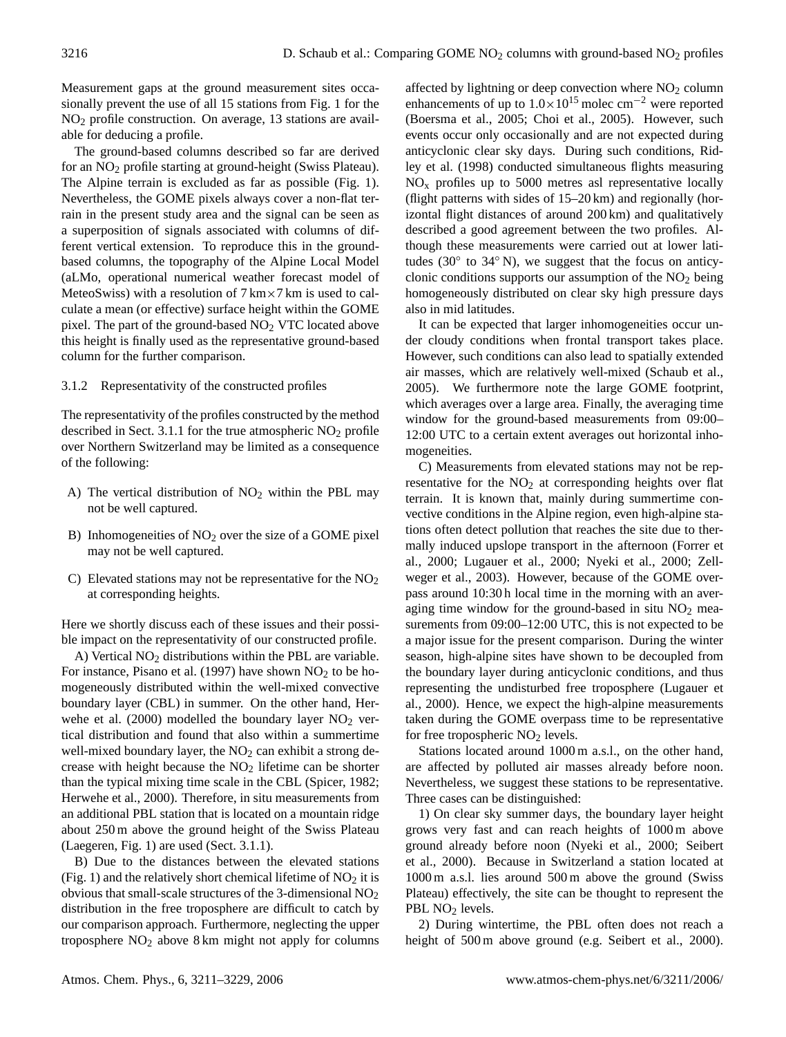Measurement gaps at the ground measurement sites occasionally prevent the use of all 15 stations from Fig. 1 for the NO<sup>2</sup> profile construction. On average, 13 stations are available for deducing a profile.

The ground-based columns described so far are derived for an NO<sup>2</sup> profile starting at ground-height (Swiss Plateau). The Alpine terrain is excluded as far as possible (Fig. 1). Nevertheless, the GOME pixels always cover a non-flat terrain in the present study area and the signal can be seen as a superposition of signals associated with columns of different vertical extension. To reproduce this in the groundbased columns, the topography of the Alpine Local Model (aLMo, operational numerical weather forecast model of MeteoSwiss) with a resolution of  $7 \text{ km} \times 7 \text{ km}$  is used to calculate a mean (or effective) surface height within the GOME pixel. The part of the ground-based NO<sub>2</sub> VTC located above this height is finally used as the representative ground-based column for the further comparison.

## 3.1.2 Representativity of the constructed profiles

The representativity of the profiles constructed by the method described in Sect. 3.1.1 for the true atmospheric  $NO<sub>2</sub>$  profile over Northern Switzerland may be limited as a consequence of the following:

- A) The vertical distribution of  $NO<sub>2</sub>$  within the PBL may not be well captured.
- B) Inhomogeneities of  $NO<sub>2</sub>$  over the size of a GOME pixel may not be well captured.
- C) Elevated stations may not be representative for the  $NO<sub>2</sub>$ at corresponding heights.

Here we shortly discuss each of these issues and their possible impact on the representativity of our constructed profile.

A) Vertical  $NO<sub>2</sub>$  distributions within the PBL are variable. For instance, Pisano et al. (1997) have shown  $NO<sub>2</sub>$  to be homogeneously distributed within the well-mixed convective boundary layer (CBL) in summer. On the other hand, Herwehe et al. (2000) modelled the boundary layer  $NO<sub>2</sub>$  vertical distribution and found that also within a summertime well-mixed boundary layer, the  $NO<sub>2</sub>$  can exhibit a strong decrease with height because the  $NO<sub>2</sub>$  lifetime can be shorter than the typical mixing time scale in the CBL (Spicer, 1982; Herwehe et al., 2000). Therefore, in situ measurements from an additional PBL station that is located on a mountain ridge about 250 m above the ground height of the Swiss Plateau (Laegeren, Fig. 1) are used (Sect. 3.1.1).

B) Due to the distances between the elevated stations (Fig. 1) and the relatively short chemical lifetime of  $NO<sub>2</sub>$  it is obvious that small-scale structures of the 3-dimensional NO<sup>2</sup> distribution in the free troposphere are difficult to catch by our comparison approach. Furthermore, neglecting the upper troposphere NO<sup>2</sup> above 8 km might not apply for columns affected by lightning or deep convection where  $NO<sub>2</sub>$  column enhancements of up to  $1.0\times10^{15}$  molec cm<sup>-2</sup> were reported (Boersma et al., 2005; Choi et al., 2005). However, such events occur only occasionally and are not expected during anticyclonic clear sky days. During such conditions, Ridley et al. (1998) conducted simultaneous flights measuring  $NO<sub>x</sub>$  profiles up to 5000 metres asl representative locally (flight patterns with sides of 15–20 km) and regionally (horizontal flight distances of around 200 km) and qualitatively described a good agreement between the two profiles. Although these measurements were carried out at lower latitudes (30° to 34° N), we suggest that the focus on anticyclonic conditions supports our assumption of the  $NO<sub>2</sub>$  being homogeneously distributed on clear sky high pressure days also in mid latitudes.

It can be expected that larger inhomogeneities occur under cloudy conditions when frontal transport takes place. However, such conditions can also lead to spatially extended air masses, which are relatively well-mixed (Schaub et al., 2005). We furthermore note the large GOME footprint, which averages over a large area. Finally, the averaging time window for the ground-based measurements from 09:00– 12:00 UTC to a certain extent averages out horizontal inhomogeneities.

C) Measurements from elevated stations may not be representative for the  $NO<sub>2</sub>$  at corresponding heights over flat terrain. It is known that, mainly during summertime convective conditions in the Alpine region, even high-alpine stations often detect pollution that reaches the site due to thermally induced upslope transport in the afternoon (Forrer et al., 2000; Lugauer et al., 2000; Nyeki et al., 2000; Zellweger et al., 2003). However, because of the GOME overpass around 10:30 h local time in the morning with an averaging time window for the ground-based in situ  $NO<sub>2</sub>$  measurements from 09:00–12:00 UTC, this is not expected to be a major issue for the present comparison. During the winter season, high-alpine sites have shown to be decoupled from the boundary layer during anticyclonic conditions, and thus representing the undisturbed free troposphere (Lugauer et al., 2000). Hence, we expect the high-alpine measurements taken during the GOME overpass time to be representative for free tropospheric  $NO<sub>2</sub>$  levels.

Stations located around 1000 m a.s.l., on the other hand, are affected by polluted air masses already before noon. Nevertheless, we suggest these stations to be representative. Three cases can be distinguished:

1) On clear sky summer days, the boundary layer height grows very fast and can reach heights of 1000 m above ground already before noon (Nyeki et al., 2000; Seibert et al., 2000). Because in Switzerland a station located at 1000 m a.s.l. lies around 500 m above the ground (Swiss Plateau) effectively, the site can be thought to represent the PBL NO<sub>2</sub> levels.

2) During wintertime, the PBL often does not reach a height of 500 m above ground (e.g. Seibert et al., 2000).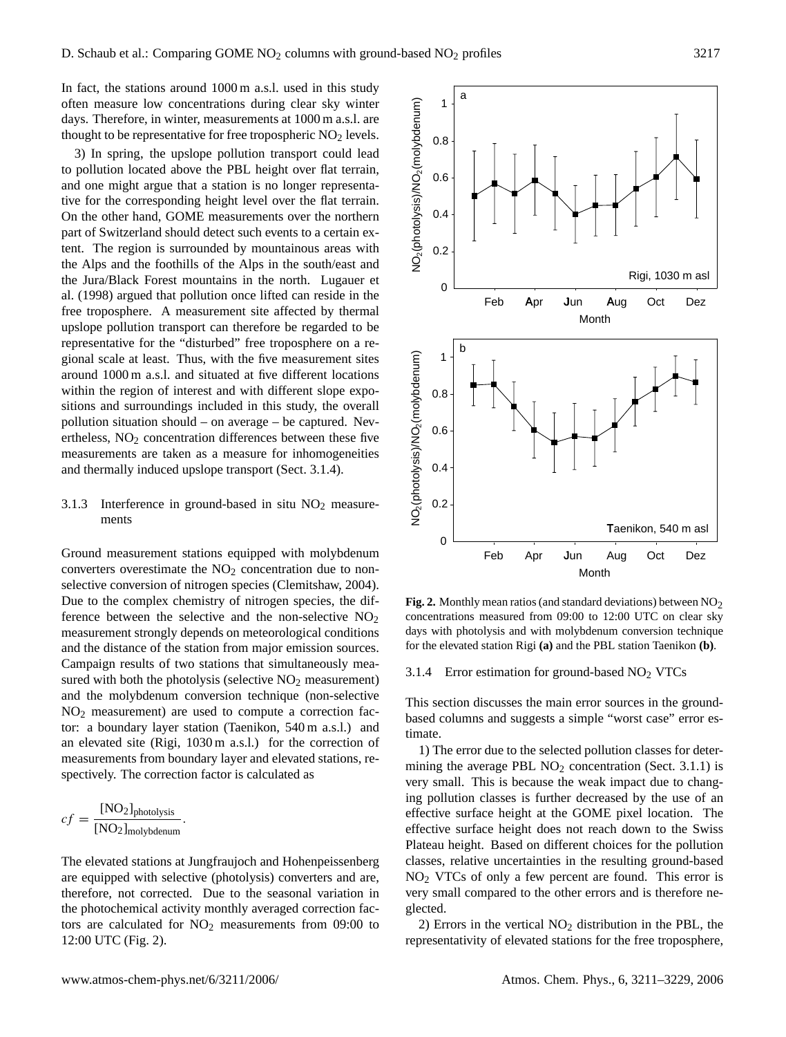In fact, the stations around 1000 m a.s.l. used in this study often measure low concentrations during clear sky winter days. Therefore, in winter, measurements at 1000 m a.s.l. are thought to be representative for free tropospheric  $NO<sub>2</sub>$  levels.

3) In spring, the upslope pollution transport could lead to pollution located above the PBL height over flat terrain, and one might argue that a station is no longer representative for the corresponding height level over the flat terrain. On the other hand, GOME measurements over the northern part of Switzerland should detect such events to a certain extent. The region is surrounded by mountainous areas with the Alps and the foothills of the Alps in the south/east and the Jura/Black Forest mountains in the north. Lugauer et al. (1998) argued that pollution once lifted can reside in the free troposphere. A measurement site affected by thermal upslope pollution transport can therefore be regarded to be representative for the "disturbed" free troposphere on a regional scale at least. Thus, with the five measurement sites around 1000 m a.s.l. and situated at five different locations within the region of interest and with different slope expositions and surroundings included in this study, the overall pollution situation should – on average – be captured. Nevertheless,  $NO<sub>2</sub>$  concentration differences between these five measurements are taken as a measure for inhomogeneities and thermally induced upslope transport (Sect. 3.1.4).

# 3.1.3 Interference in ground-based in situ  $NO<sub>2</sub>$  measurements

Ground measurement stations equipped with molybdenum converters overestimate the  $NO<sub>2</sub>$  concentration due to nonselective conversion of nitrogen species (Clemitshaw, 2004). Due to the complex chemistry of nitrogen species, the difference between the selective and the non-selective  $NO<sub>2</sub>$ measurement strongly depends on meteorological conditions and the distance of the station from major emission sources. Campaign results of two stations that simultaneously mea-<br>
3.1.4 Figure estimation sured with both the photolysis (selective  $NO<sub>2</sub>$  measurement) and the molybdenum conversion technique (non-selective NO<sup>2</sup> measurement) are used to compute a correction factor: a boundary layer station (Taenikon, 540 m a.s.l.) and an elevated site (Rigi, 1030 m a.s.l.) for the correction of measurements from boundary layer and elevated stations, respectively. The correction factor is calculated as

$$
cf = \frac{[NO_2]_{photolysis}}{[NO_2]_{molybdenum}}.
$$

The elevated stations at Jungfraujoch and Hohenpeissenberg are equipped with selective (photolysis) converters and are, therefore, not corrected. Due to the seasonal variation in the photochemical activity monthly averaged correction factors are calculated for  $NO<sub>2</sub>$  measurements from 09:00 to 12:00 UTC (Fig. 2).



the non-selective  $NO<sub>2</sub>$  concentrations measured from 09:00 to 12:00 UTC on clear sky major emission sources. for the elevated station Rigi (a) and the PBL station Taenikon (b). Fig. 2. Monthly mean ratios (and standard deviations) between NO<sub>2</sub> days with photolysis and with molybdenum conversion technique

#### 3.1.4 Error estimation for ground-based  $NO<sub>2</sub> VTCs$

This section discusses the main error sources in the groundbased columns and suggests a simple "worst case" error estimate.

1) The error due to the selected pollution classes for determining the average PBL  $NO<sub>2</sub>$  concentration (Sect. 3.1.1) is very small. This is because the weak impact due to changing pollution classes is further decreased by the use of an effective surface height at the GOME pixel location. The effective surface height does not reach down to the Swiss Plateau height. Based on different choices for the pollution classes, relative uncertainties in the resulting ground-based NO<sup>2</sup> VTCs of only a few percent are found. This error is very small compared to the other errors and is therefore neglected.

2) Errors in the vertical  $NO<sub>2</sub>$  distribution in the PBL, the representativity of elevated stations for the free troposphere,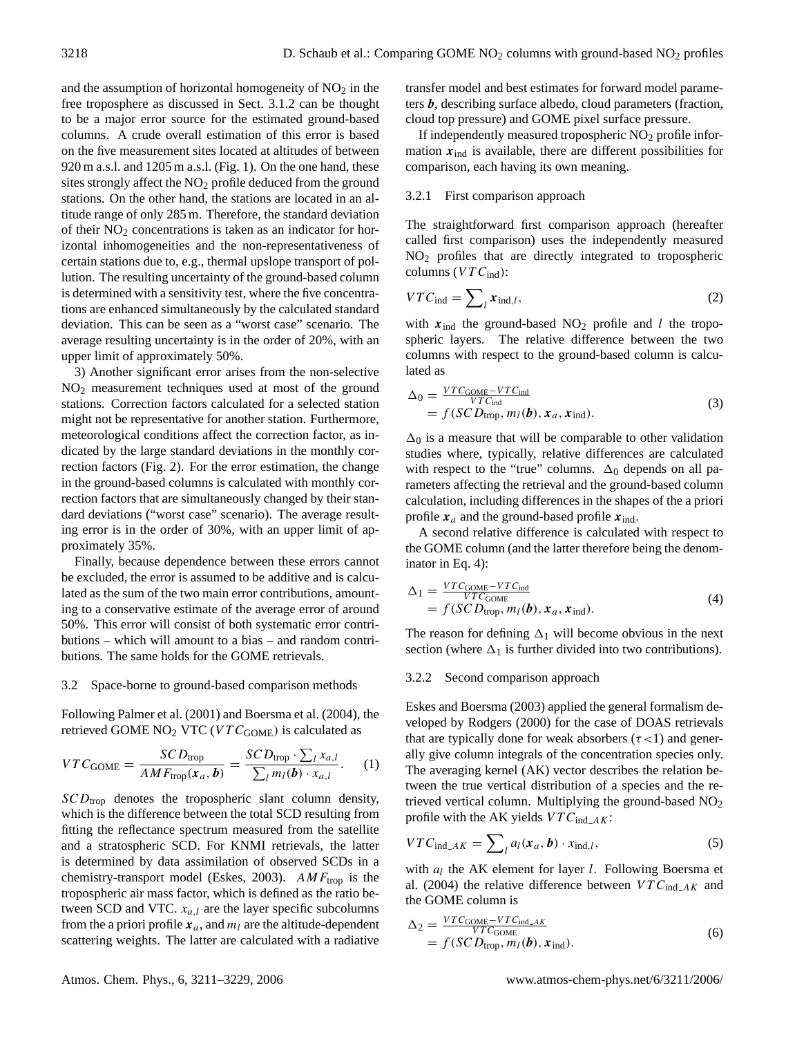and the assumption of horizontal homogeneity of  $NO<sub>2</sub>$  in the free troposphere as discussed in Sect. 3.1.2 can be thought to be a major error source for the estimated ground-based columns. A crude overall estimation of this error is based on the five measurement sites located at altitudes of between 920 m a.s.l. and 1205 m a.s.l. (Fig. 1). On the one hand, these sites strongly affect the NO<sub>2</sub> profile deduced from the ground stations. On the other hand, the stations are located in an altitude range of only 285 m. Therefore, the standard deviation of their  $NO<sub>2</sub>$  concentrations is taken as an indicator for horizontal inhomogeneities and the non-representativeness of certain stations due to, e.g., thermal upslope transport of pollution. The resulting uncertainty of the ground-based column is determined with a sensitivity test, where the five concentrations are enhanced simultaneously by the calculated standard deviation. This can be seen as a "worst case" scenario. The average resulting uncertainty is in the order of 20%, with an upper limit of approximately 50%.

3) Another significant error arises from the non-selective NO<sup>2</sup> measurement techniques used at most of the ground stations. Correction factors calculated for a selected station might not be representative for another station. Furthermore, meteorological conditions affect the correction factor, as indicated by the large standard deviations in the monthly correction factors (Fig. 2). For the error estimation, the change in the ground-based columns is calculated with monthly correction factors that are simultaneously changed by their standard deviations ("worst case" scenario). The average resulting error is in the order of 30%, with an upper limit of approximately 35%.

Finally, because dependence between these errors cannot be excluded, the error is assumed to be additive and is calculated as the sum of the two main error contributions, amounting to a conservative estimate of the average error of around 50%. This error will consist of both systematic error contributions – which will amount to a bias – and random contributions. The same holds for the GOME retrievals.

## 3.2 Space-borne to ground-based comparison methods

Following Palmer et al. (2001) and Boersma et al. (2004), the retrieved GOME  $NO<sub>2</sub> VTC (VTC<sub>GOME</sub>)$  is calculated as

$$
VTC_{\text{GOME}} = \frac{SCD_{\text{trop}}}{AMF_{\text{trop}}(x_a, b)} = \frac{SCD_{\text{trop}} \cdot \sum_l x_{a,l}}{\sum_l m_l(b) \cdot x_{a,l}}.
$$
 (1)

 $SCD_{\text{trop}}$  denotes the tropospheric slant column density, which is the difference between the total SCD resulting from fitting the reflectance spectrum measured from the satellite and a stratospheric SCD. For KNMI retrievals, the latter is determined by data assimilation of observed SCDs in a chemistry-transport model (Eskes, 2003).  $AMF_{\text{trop}}$  is the tropospheric air mass factor, which is defined as the ratio between SCD and VTC.  $x_{a,l}$  are the layer specific subcolumns from the a priori profile  $x_a$ , and  $m_l$  are the altitude-dependent scattering weights. The latter are calculated with a radiative transfer model and best estimates for forward model parameters b, describing surface albedo, cloud parameters (fraction, cloud top pressure) and GOME pixel surface pressure.

If independently measured tropospheric  $NO<sub>2</sub>$  profile information  $x_{ind}$  is available, there are different possibilities for comparison, each having its own meaning.

#### 3.2.1 First comparison approach

The straightforward first comparison approach (hereafter called first comparison) uses the independently measured NO<sup>2</sup> profiles that are directly integrated to tropospheric columns ( $VTC<sub>ind</sub>$ ):

$$
VTC_{\text{ind}} = \sum_{l} x_{\text{ind},l},\tag{2}
$$

with  $x_{ind}$  the ground-based NO<sub>2</sub> profile and *l* the tropospheric layers. The relative difference between the two columns with respect to the ground-based column is calculated as

$$
\Delta_0 = \frac{VTC_{\text{GOME}} - VTC_{\text{ind}}}{VTC_{\text{ind}}}
$$
  
=  $f(SCD_{\text{trop}}, m_l(b), x_a, x_{\text{ind}}).$  (3)

 $\Delta_0$  is a measure that will be comparable to other validation studies where, typically, relative differences are calculated with respect to the "true" columns.  $\Delta_0$  depends on all parameters affecting the retrieval and the ground-based column calculation, including differences in the shapes of the a priori profile  $x_a$  and the ground-based profile  $x_{ind}$ .

A second relative difference is calculated with respect to the GOME column (and the latter therefore being the denominator in Eq. 4):

$$
\Delta_1 = \frac{VTC_{\text{GOME}} - VTC_{\text{ind}}}{VTC_{\text{GOME}}} = f(SCD_{\text{trop}}, m_l(b), x_a, x_{\text{ind}}).
$$
\n(4)

The reason for defining  $\Delta_1$  will become obvious in the next section (where  $\Delta_1$  is further divided into two contributions).

#### 3.2.2 Second comparison approach

Eskes and Boersma (2003) applied the general formalism developed by Rodgers (2000) for the case of DOAS retrievals that are typically done for weak absorbers ( $\tau$ <1) and generally give column integrals of the concentration species only. The averaging kernel (AK) vector describes the relation between the true vertical distribution of a species and the retrieved vertical column. Multiplying the ground-based NO<sub>2</sub> profile with the AK yields  $VTC_{ind\_AK}$ :

$$
VTC_{\text{ind}\_\text{AK}} = \sum_{l} a_l(\mathbf{x}_a, \mathbf{b}) \cdot x_{\text{ind},l},\tag{5}
$$

with  $a_l$  the AK element for layer  $l$ . Following Boersma et al. (2004) the relative difference between  $VTC_{ind\_AK}$  and the GOME column is

$$
\Delta_2 = \frac{VTC_{\text{GOME}} - VTC_{\text{ind}\_\text{AK}}}{VTC_{\text{GOME}}} \n= f(SCD_{\text{trop}}, m_l(b), \mathbf{x}_{\text{ind}}).
$$
\n(6)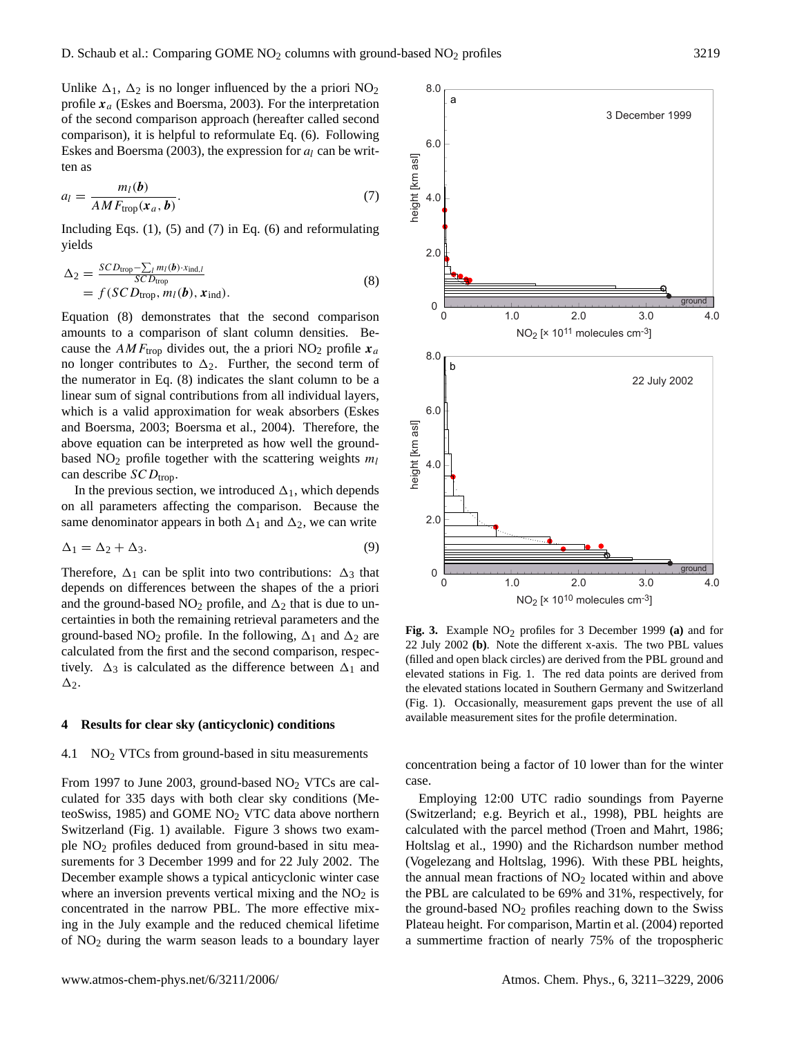6.0

8.0

a

Unlike  $\Delta_1$ ,  $\Delta_2$  is no longer influenced by the a priori NO<sub>2</sub> profile  $x_a$  (Eskes and Boersma, 2003). For the interpretation of the second comparison approach (hereafter called second comparison), it is helpful to reformulate Eq. (6). Following Eskes and Boersma (2003), the expression for  $a_l$  can be written as

$$
a_l = \frac{m_l(\boldsymbol{b})}{AM F_{\text{trop}}(\boldsymbol{x}_a, \boldsymbol{b})}.
$$
 (7)

Including Eqs.  $(1)$ ,  $(5)$  and  $(7)$  in Eq.  $(6)$  and reformulating yields

$$
\Delta_2 = \frac{SCD_{\text{trop}} - \sum_l m_l(\boldsymbol{b}) \cdot x_{\text{ind},l}}{SCD_{\text{trop}}} \n= f (SCD_{\text{trop}}, m_l(\boldsymbol{b}), \boldsymbol{x}_{\text{ind}}).
$$
\n(8)

Equation (8) demonstrates that the second comparison amounts to a comparison of slant column densities. Because the  $AMF_{\text{trop}}$  divides out, the a priori NO<sub>2</sub> profile  $x_a$ no longer contributes to  $\Delta_2$ . Further, the second term of the numerator in Eq. (8) indicates the slant column to be a linear sum of signal contributions from all individual layers, which is a valid approximation for weak absorbers (Eskes and Boersma, 2003; Boersma et al., 2004). Therefore, the above equation can be interpreted as how well the groundbased  $NO<sub>2</sub>$  profile together with the scattering weights  $m<sub>l</sub>$ can describe  $SCD_{\text{trop}}$ .

In the previous section, we introduced  $\Delta_1$ , which depends on all parameters affecting the comparison. Because the same denominator appears in both  $\Delta_1$  and  $\Delta_2$ , we can write

$$
\Delta_1 = \Delta_2 + \Delta_3. \tag{9}
$$

Therefore,  $\Delta_1$  can be split into two contributions:  $\Delta_3$  that depends on differences between the shapes of the a priori and the ground-based  $NO<sub>2</sub>$  profile, and  $\Delta<sub>2</sub>$  that is due to uncertainties in both the remaining retrieval parameters and the ground-based NO<sub>2</sub> profile. In the following,  $\Delta_1$  and  $\Delta_2$  are calculated from the first and the second comparison, respectively.  $\Delta_3$  is calculated as the difference between  $\Delta_1$  and  $\Delta$ <sub>2</sub>.

#### **4 Results for clear sky (anticyclonic) conditions**

## 4.1  $\sim$  NO<sub>2</sub> VTCs from ground-based in situ measurements

From 1997 to June 2003, ground-based  $NO<sub>2</sub> VTCs$  are calculated for 335 days with both clear sky conditions (MeteoSwiss, 1985) and GOME NO<sup>2</sup> VTC data above northern Switzerland (Fig. 1) available. Figure 3 shows two example NO<sup>2</sup> profiles deduced from ground-based in situ measurements for 3 December 1999 and for 22 July 2002. The December example shows a typical anticyclonic winter case where an inversion prevents vertical mixing and the  $NO<sub>2</sub>$  is concentrated in the narrow PBL. The more effective mixing in the July example and the reduced chemical lifetime of NO<sup>2</sup> during the warm season leads to a boundary layer

neight [km asl] height [km asl] 4.0 2.0 0 ground 2.0 0 1.0 3.0 4.0  $NO<sub>2</sub>$  [x 10<sup>11</sup> molecules cm<sup>-3</sup>] 8.0 b 22 July 2002 6.0 neight [km as] height [km asl] 4.0  $2<sub>0</sub>$ ground 0 2.0 0 1.0 3.0 4.0  $NO<sub>2</sub>$  [x 10<sup>10</sup> molecules cm<sup>-3</sup>]

**Fig. 3.** Example NO2 profiles for 3 December 1999 **(a)** and for 22 July 2002 **(b)**. Note the different x-axis. The two PBL values (filled and open black circles) are derived from the PBL ground and elevated stations in Fig. 1. The red data points are derived from the elevated stations located in Southern Germany and Switzerland (Fig. 1). Occasionally, measurement gaps prevent the use of all available measurement sites for the profile determination.

concentration being a factor of 10 lower than for the winter case.

Employing 12:00 UTC radio soundings from Payerne (Switzerland; e.g. Beyrich et al., 1998), PBL heights are calculated with the parcel method (Troen and Mahrt, 1986; Holtslag et al., 1990) and the Richardson number method (Vogelezang and Holtslag, 1996). With these PBL heights, the annual mean fractions of  $NO<sub>2</sub>$  located within and above the PBL are calculated to be 69% and 31%, respectively, for the ground-based  $NO<sub>2</sub>$  profiles reaching down to the Swiss Plateau height. For comparison, Martin et al. (2004) reported a summertime fraction of nearly 75% of the tropospheric

3 December 1999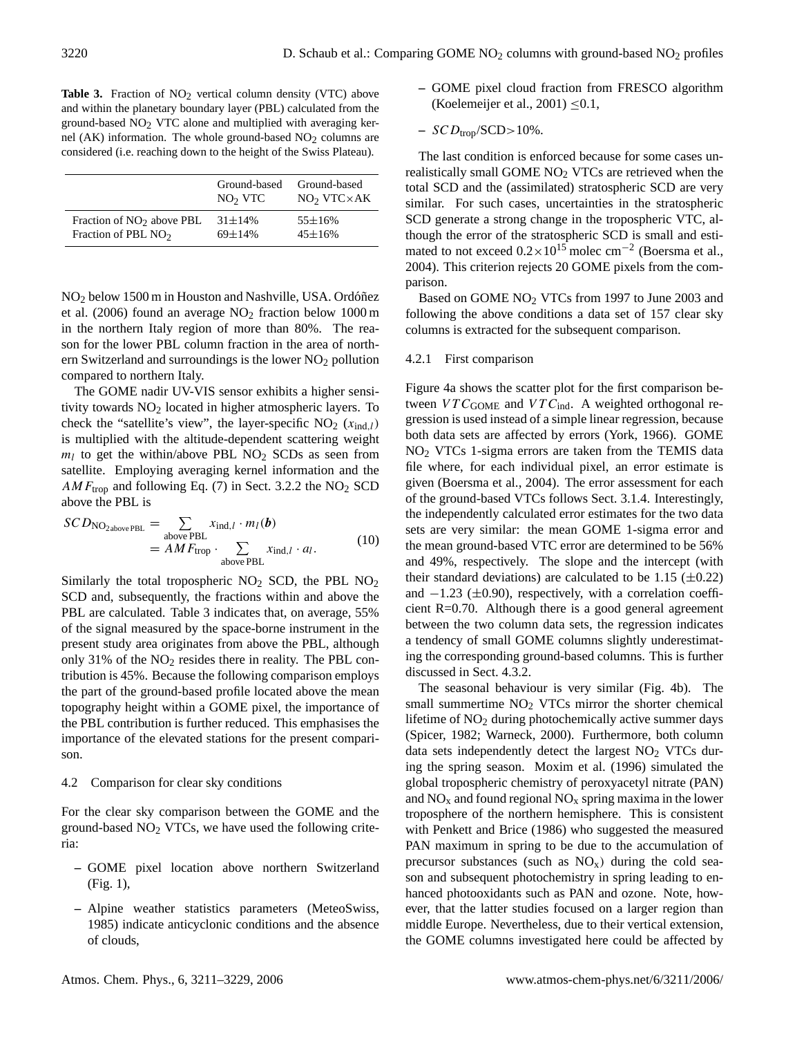Table 3. Fraction of NO<sub>2</sub> vertical column density (VTC) above and within the planetary boundary layer (PBL) calculated from the ground-based  $NO<sub>2</sub> VTC$  alone and multiplied with averaging kernel (AK) information. The whole ground-based  $NO<sub>2</sub>$  columns are considered (i.e. reaching down to the height of the Swiss Plateau).

|                             | Ground-based<br>NO <sub>2</sub> VTC | Ground-based<br>$NO2 VTC \times AK$ |
|-----------------------------|-------------------------------------|-------------------------------------|
| Fraction of $NO2$ above PBL | $31 \pm 14\%$                       | $55 \pm 16\%$                       |
| Fraction of PBL $NO2$       | $69 + 14%$                          | $45 \pm 16\%$                       |

NO<sub>2</sub> below 1500 m in Houston and Nashville, USA. Ordóñez et al. (2006) found an average  $NO<sub>2</sub>$  fraction below 1000 m in the northern Italy region of more than 80%. The reason for the lower PBL column fraction in the area of northern Switzerland and surroundings is the lower  $NO<sub>2</sub>$  pollution compared to northern Italy.

The GOME nadir UV-VIS sensor exhibits a higher sensitivity towards  $NO<sub>2</sub>$  located in higher atmospheric layers. To check the "satellite's view", the layer-specific  $NO<sub>2</sub>$  ( $x_{ind,l}$ ) is multiplied with the altitude-dependent scattering weight  $m_l$  to get the within/above PBL NO<sub>2</sub> SCDs as seen from satellite. Employing averaging kernel information and the  $AMF_{\text{trop}}$  and following Eq. (7) in Sect. 3.2.2 the NO<sub>2</sub> SCD above the PBL is

$$
SCD_{NO_{2\text{above PBL}}} = \sum_{\text{above PBL}} x_{\text{ind},l} \cdot m_l(\boldsymbol{b})
$$
  
=  $AMF_{\text{trop}} \cdot \sum_{\text{above PBL}} x_{\text{ind},l} \cdot a_l.$  (10)

Similarly the total tropospheric  $NO<sub>2</sub>$  SCD, the PBL  $NO<sub>2</sub>$ SCD and, subsequently, the fractions within and above the PBL are calculated. Table 3 indicates that, on average, 55% of the signal measured by the space-borne instrument in the present study area originates from above the PBL, although only 31% of the  $NO<sub>2</sub>$  resides there in reality. The PBL contribution is 45%. Because the following comparison employs the part of the ground-based profile located above the mean topography height within a GOME pixel, the importance of the PBL contribution is further reduced. This emphasises the importance of the elevated stations for the present comparison.

#### 4.2 Comparison for clear sky conditions

For the clear sky comparison between the GOME and the ground-based  $NO<sub>2</sub> VTCs$ , we have used the following criteria:

- **–** GOME pixel location above northern Switzerland (Fig. 1),
- **–** Alpine weather statistics parameters (MeteoSwiss, 1985) indicate anticyclonic conditions and the absence of clouds,
- **–** GOME pixel cloud fraction from FRESCO algorithm (Koelemeijer et al., 2001)  $\leq 0.1$ ,
- $-$  SCD<sub>trop</sub>/SCD $>$ 10%.

The last condition is enforced because for some cases unrealistically small GOME NO<sub>2</sub> VTCs are retrieved when the total SCD and the (assimilated) stratospheric SCD are very similar. For such cases, uncertainties in the stratospheric SCD generate a strong change in the tropospheric VTC, although the error of the stratospheric SCD is small and estimated to not exceed  $0.2 \times 10^{15}$  molec cm<sup>-2</sup> (Boersma et al., 2004). This criterion rejects 20 GOME pixels from the comparison.

Based on GOME NO<sub>2</sub> VTCs from 1997 to June 2003 and following the above conditions a data set of 157 clear sky columns is extracted for the subsequent comparison.

#### 4.2.1 First comparison

Figure 4a shows the scatter plot for the first comparison between  $VTC_{GOME}$  and  $VTC_{ind}$ . A weighted orthogonal regression is used instead of a simple linear regression, because both data sets are affected by errors (York, 1966). GOME NO<sup>2</sup> VTCs 1-sigma errors are taken from the TEMIS data file where, for each individual pixel, an error estimate is given (Boersma et al., 2004). The error assessment for each of the ground-based VTCs follows Sect. 3.1.4. Interestingly, the independently calculated error estimates for the two data sets are very similar: the mean GOME 1-sigma error and the mean ground-based VTC error are determined to be 56% and 49%, respectively. The slope and the intercept (with their standard deviations) are calculated to be 1.15  $(\pm 0.22)$ and  $-1.23$  ( $\pm 0.90$ ), respectively, with a correlation coefficient R=0.70. Although there is a good general agreement between the two column data sets, the regression indicates a tendency of small GOME columns slightly underestimating the corresponding ground-based columns. This is further discussed in Sect. 4.3.2.

The seasonal behaviour is very similar (Fig. 4b). The small summertime  $NO<sub>2</sub> VTCs$  mirror the shorter chemical lifetime of  $NO<sub>2</sub>$  during photochemically active summer days (Spicer, 1982; Warneck, 2000). Furthermore, both column data sets independently detect the largest  $NO<sub>2</sub> VTCs$  during the spring season. Moxim et al. (1996) simulated the global tropospheric chemistry of peroxyacetyl nitrate (PAN) and  $NO<sub>x</sub>$  and found regional  $NO<sub>x</sub>$  spring maxima in the lower troposphere of the northern hemisphere. This is consistent with Penkett and Brice (1986) who suggested the measured PAN maximum in spring to be due to the accumulation of precursor substances (such as  $NO<sub>x</sub>$ ) during the cold season and subsequent photochemistry in spring leading to enhanced photooxidants such as PAN and ozone. Note, however, that the latter studies focused on a larger region than middle Europe. Nevertheless, due to their vertical extension, the GOME columns investigated here could be affected by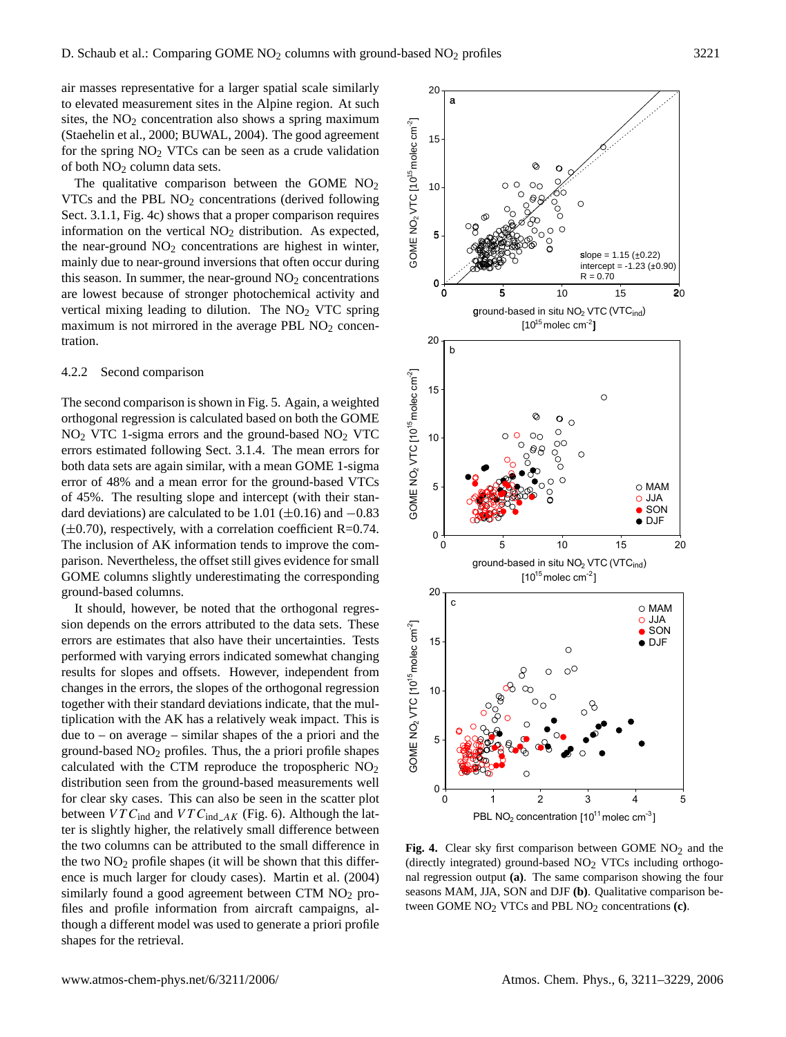air masses representative for a larger spatial scale similarly to elevated measurement sites in the Alpine region. At such sites, the  $NO<sub>2</sub>$  concentration also shows a spring maximum (Staehelin et al., 2000; BUWAL, 2004). The good agreement for the spring  $NO<sub>2</sub> VTCs$  can be seen as a crude validation of both  $NO<sub>2</sub>$  column data sets.

The qualitative comparison between the GOME  $NO<sub>2</sub>$ VTCs and the PBL  $NO<sub>2</sub>$  concentrations (derived following Sect. 3.1.1, Fig. 4c) shows that a proper comparison requires information on the vertical  $NO<sub>2</sub>$  distribution. As expected, the near-ground  $NO<sub>2</sub>$  concentrations are highest in winter, mainly due to near-ground inversions that often occur during this season. In summer, the near-ground  $NO<sub>2</sub>$  concentrations are lowest because of stronger photochemical activity and vertical mixing leading to dilution. The  $NO<sub>2</sub>$  VTC spring maximum is not mirrored in the average PBL  $NO<sub>2</sub>$  concentration.

#### 4.2.2 Second comparison

The second comparison is shown in Fig. 5. Again, a weighted orthogonal regression is calculated based on both the GOME  $NO<sub>2</sub> VTC$  1-sigma errors and the ground-based  $NO<sub>2</sub> VTC$ errors estimated following Sect. 3.1.4. The mean errors for both data sets are again similar, with a mean GOME 1-sigma error of 48% and a mean error for the ground-based VTCs of 45%. The resulting slope and intercept (with their standard deviations) are calculated to be 1.01 ( $\pm$ 0.16) and −0.83  $(\pm 0.70)$ , respectively, with a correlation coefficient R=0.74. The inclusion of AK information tends to improve the comparison. Nevertheless, the offset still gives evidence for small GOME columns slightly underestimating the corresponding ground-based columns.

It should, however, be noted that the orthogonal regression depends on the errors attributed to the data sets. These errors are estimates that also have their uncertainties. Tests performed with varying errors indicated somewhat changing results for slopes and offsets. However, independent from changes in the errors, the slopes of the orthogonal regression together with their standard deviations indicate, that the multiplication with the AK has a relatively weak impact. This is due to – on average – similar shapes of the a priori and the ground-based  $NO<sub>2</sub>$  profiles. Thus, the a priori profile shapes calculated with the CTM reproduce the tropospheric  $NO<sub>2</sub>$ distribution seen from the ground-based measurements well for clear sky cases. This can also be seen in the scatter plot between  $VTC_{ind}$  and  $VTC_{ind\_AK}$  (Fig. 6). Although the latter is slightly higher, the relatively small difference between the two columns can be attributed to the small difference in the two  $NO<sub>2</sub>$  profile shapes (it will be shown that this difference is much larger for cloudy cases). Martin et al. (2004) similarly found a good agreement between CTM NO<sub>2</sub> profiles and profile information from aircraft campaigns, although a different model was used to generate a priori profile shapes for the retrieval.



Fig. 4. Clear sky first comparison between GOME NO<sub>2</sub> and the (directly integrated) ground-based  $NO<sub>2</sub> VTCs$  including orthogonal regression output **(a)**. The same comparison showing the four seasons MAM, JJA, SON and DJF **(b)**. Qualitative comparison between GOME NO2 VTCs and PBL NO2 concentrations **(c)**.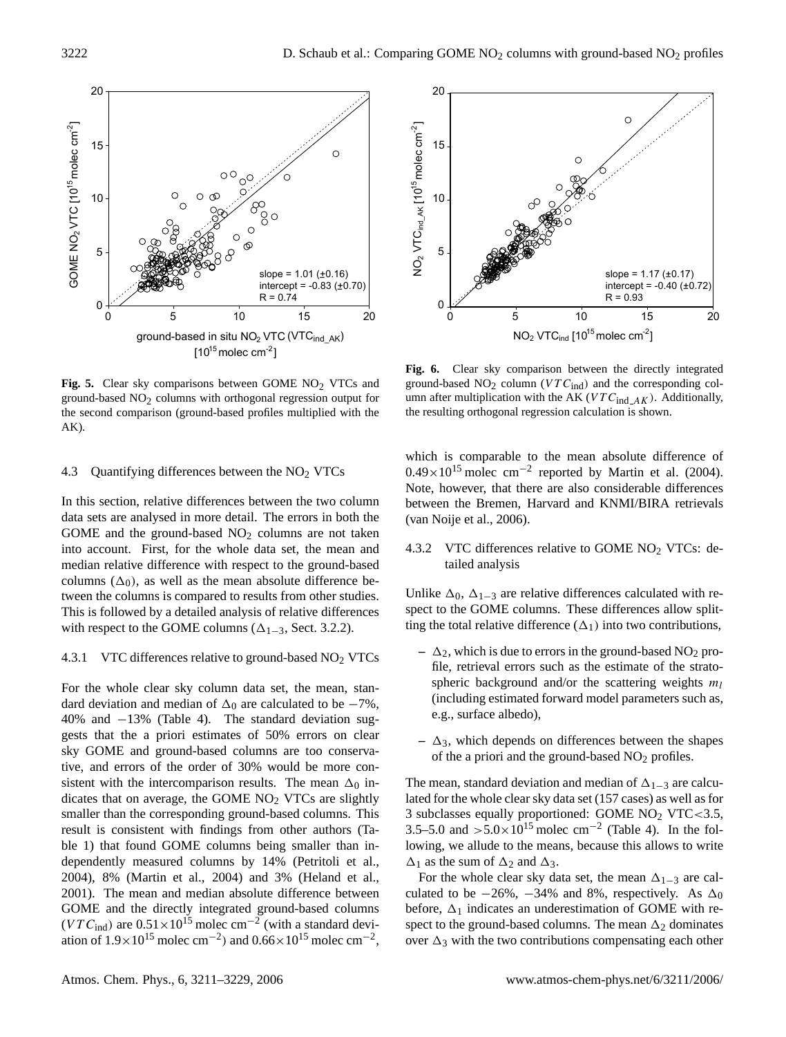

Fig. 5. Clear sky comparisons between GOME NO<sub>2</sub> VTCs and ground-based  $NO<sub>2</sub>$  columns with orthogonal regression output for the second comparison (ground-based profiles multiplied with the AK).

#### 4.3 Quantifying differences between the  $NO<sub>2</sub> VTCs$

In this section, relative differences between the two column data sets are analysed in more detail. The errors in both the GOME and the ground-based  $NO<sub>2</sub>$  columns are not taken into account. First, for the whole data set, the mean and median relative difference with respect to the ground-based columns  $(\Delta_0)$ , as well as the mean absolute difference between the columns is compared to results from other studies. This is followed by a detailed analysis of relative differences with respect to the GOME columns ( $\Delta_{1-3}$ , Sect. 3.2.2).

## 4.3.1 VTC differences relative to ground-based  $NO<sub>2</sub> VTCs$

For the whole clear sky column data set, the mean, standard deviation and median of  $\Delta_0$  are calculated to be  $-7\%$ , 40% and −13% (Table 4). The standard deviation suggests that the a priori estimates of 50% errors on clear sky GOME and ground-based columns are too conservative, and errors of the order of 30% would be more consistent with the intercomparison results. The mean  $\Delta_0$  indicates that on average, the GOME  $NO<sub>2</sub> VTCs$  are slightly smaller than the corresponding ground-based columns. This result is consistent with findings from other authors (Table 1) that found GOME columns being smaller than independently measured columns by 14% (Petritoli et al., 2004), 8% (Martin et al., 2004) and 3% (Heland et al., 2001). The mean and median absolute difference between GOME and the directly integrated ground-based columns  $(VTC<sub>ind</sub>)$  are  $0.51 \times 10^{15}$  molec cm<sup>-2</sup> (with a standard deviation of  $1.9 \times 10^{15}$  molec cm<sup>-2</sup>) and  $0.66 \times 10^{15}$  molec cm<sup>-2</sup>,



**Fig. 6.** Clear sky comparison between the directly integrated ground-based  $NO<sub>2</sub>$  column ( $VTC<sub>ind</sub>$ ) and the corresponding column after multiplication with the AK ( $VTC_{ind\_AK}$ ). Additionally, the resulting orthogonal regression calculation is shown.

which is comparable to the mean absolute difference of  $0.49 \times 10^{15}$  molec cm<sup>-2</sup> reported by Martin et al. (2004). Note, however, that there are also considerable differences between the Bremen, Harvard and KNMI/BIRA retrievals (van Noije et al., 2006).

4.3.2 VTC differences relative to GOME  $NO<sub>2</sub> VTCs$ : detailed analysis

Unlike  $\Delta_0$ ,  $\Delta_{1-3}$  are relative differences calculated with respect to the GOME columns. These differences allow splitting the total relative difference  $(\Delta_1)$  into two contributions,

- $-\Delta_2$ , which is due to errors in the ground-based NO<sub>2</sub> profile, retrieval errors such as the estimate of the stratospheric background and/or the scattering weights  $m_l$ (including estimated forward model parameters such as, e.g., surface albedo),
- $-\Delta_3$ , which depends on differences between the shapes of the a priori and the ground-based  $NO<sub>2</sub>$  profiles.

The mean, standard deviation and median of  $\Delta_{1-3}$  are calculated for the whole clear sky data set (157 cases) as well as for 3 subclasses equally proportioned: GOME  $NO<sub>2</sub> VTC < 3.5$ , 3.5–5.0 and >5.0×10<sup>15</sup> molec cm<sup>-2</sup> (Table 4). In the following, we allude to the means, because this allows to write  $\Delta_1$  as the sum of  $\Delta_2$  and  $\Delta_3$ .

For the whole clear sky data set, the mean  $\Delta_{1-3}$  are calculated to be  $-26\%$ ,  $-34\%$  and 8%, respectively. As  $\Delta_0$ before,  $\Delta_1$  indicates an underestimation of GOME with respect to the ground-based columns. The mean  $\Delta_2$  dominates over  $\Delta_3$  with the two contributions compensating each other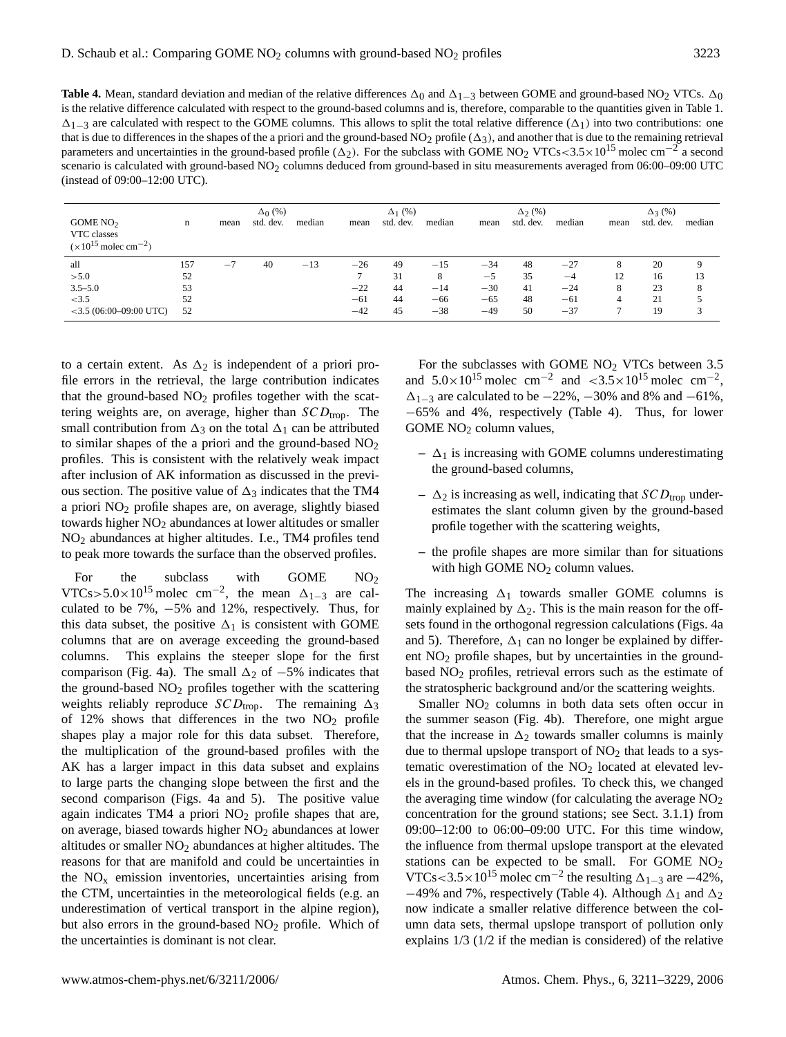**Table 4.** Mean, standard deviation and median of the relative differences  $\Delta_0$  and  $\Delta_{1-3}$  between GOME and ground-based NO<sub>2</sub> VTCs.  $\Delta_0$ is the relative difference calculated with respect to the ground-based columns and is, therefore, comparable to the quantities given in Table 1.  $\Delta_{1-3}$  are calculated with respect to the GOME columns. This allows to split the total relative difference ( $\Delta_1$ ) into two contributions: one that is due to differences in the shapes of the a priori and the ground-based  $NO<sub>2</sub>$  profile ( $\Delta_3$ ), and another that is due to the remaining retrieval parameters and uncertainties in the ground-based profile ( $\Delta_2$ ). For the subclass with GOME NO<sub>2</sub> VTCs<3.5×10<sup>15</sup> molec cm<sup>-2</sup> a second scenario is calculated with ground-based NO<sub>2</sub> columns deduced from ground-based in situ measurements averaged from 06:00–09:00 UTC (instead of 09:00–12:00 UTC).

|                                                                 |     |      | $\Delta_0$ (%) |        |       | $\Delta_1$ (%) |        |       | $\Delta_2$ (%) |        |      | $\Delta_3$ (%) |              |
|-----------------------------------------------------------------|-----|------|----------------|--------|-------|----------------|--------|-------|----------------|--------|------|----------------|--------------|
| GOME $NO2$<br>VTC classes<br>$(x10^{15} \text{ molec cm}^{-2})$ | n   | mean | std. dev.      | median | mean  | std. dev.      | median | mean  | std. dev.      | median | mean | std. dev.      | median       |
| all                                                             | 157 | $-7$ | 40             | $-13$  | $-26$ | 49             | $-15$  | $-34$ | 48             | $-27$  | 8    | 20             | $\mathbf Q$  |
| > 5.0                                                           | 52  |      |                |        |       | 31             | 8      | $-5$  | 35             | $-4$   | 12   | 16             | 13           |
| $3.5 - 5.0$                                                     | 53  |      |                |        | $-22$ | 44             | $-14$  | $-30$ | 41             | $-24$  | 8    | 23             | 8            |
| < 3.5                                                           | 52  |      |                |        | $-61$ | 44             | $-66$  | $-65$ | 48             | $-61$  | 4    | 21             |              |
| $<$ 3.5 (06:00–09:00 UTC)                                       | 52  |      |                |        | $-42$ | 45             | $-38$  | $-49$ | 50             | $-37$  |      | 19             | $\mathbf{z}$ |

to a certain extent. As  $\Delta_2$  is independent of a priori profile errors in the retrieval, the large contribution indicates that the ground-based  $NO<sub>2</sub>$  profiles together with the scattering weights are, on average, higher than  $SCD_{trop}$ . The small contribution from  $\Delta_3$  on the total  $\Delta_1$  can be attributed to similar shapes of the a priori and the ground-based  $NO<sub>2</sub>$ profiles. This is consistent with the relatively weak impact after inclusion of AK information as discussed in the previous section. The positive value of  $\Delta_3$  indicates that the TM4 a priori NO<sup>2</sup> profile shapes are, on average, slightly biased towards higher NO<sub>2</sub> abundances at lower altitudes or smaller NO<sup>2</sup> abundances at higher altitudes. I.e., TM4 profiles tend to peak more towards the surface than the observed profiles.

For the subclass with GOME  $NO<sub>2</sub>$ VTCs>5.0×10<sup>15</sup> molec cm<sup>-2</sup>, the mean  $\Delta_{1-3}$  are calculated to be 7%, −5% and 12%, respectively. Thus, for this data subset, the positive  $\Delta_1$  is consistent with GOME columns that are on average exceeding the ground-based columns. This explains the steeper slope for the first comparison (Fig. 4a). The small  $\Delta_2$  of −5% indicates that the ground-based NO<sub>2</sub> profiles together with the scattering weights reliably reproduce  $SCD_{\text{trop}}$ . The remaining  $\Delta_3$ of 12% shows that differences in the two  $NO<sub>2</sub>$  profile shapes play a major role for this data subset. Therefore, the multiplication of the ground-based profiles with the AK has a larger impact in this data subset and explains to large parts the changing slope between the first and the second comparison (Figs. 4a and 5). The positive value again indicates TM4 a priori  $NO<sub>2</sub>$  profile shapes that are, on average, biased towards higher NO<sub>2</sub> abundances at lower altitudes or smaller  $NO<sub>2</sub>$  abundances at higher altitudes. The reasons for that are manifold and could be uncertainties in the  $NO<sub>x</sub>$  emission inventories, uncertainties arising from the CTM, uncertainties in the meteorological fields (e.g. an underestimation of vertical transport in the alpine region), but also errors in the ground-based  $NO<sub>2</sub>$  profile. Which of the uncertainties is dominant is not clear.

For the subclasses with GOME  $NO<sub>2</sub>$  VTCs between 3.5 and  $5.0 \times 10^{15}$  molec cm<sup>-2</sup> and  $\lt 3.5 \times 10^{15}$  molec cm<sup>-2</sup>,  $\Delta_{1-3}$  are calculated to be  $-22\%$ ,  $-30\%$  and 8% and  $-61\%$ , −65% and 4%, respectively (Table 4). Thus, for lower GOME  $NO<sub>2</sub>$  column values,

- $\Delta_1$  is increasing with GOME columns underestimating the ground-based columns,
- $-\Delta_2$  is increasing as well, indicating that  $SCD_{\text{trop}}$  underestimates the slant column given by the ground-based profile together with the scattering weights,
- **–** the profile shapes are more similar than for situations with high GOME NO<sub>2</sub> column values.

The increasing  $\Delta_1$  towards smaller GOME columns is mainly explained by  $\Delta_2$ . This is the main reason for the offsets found in the orthogonal regression calculations (Figs. 4a and 5). Therefore,  $\Delta_1$  can no longer be explained by different NO<sub>2</sub> profile shapes, but by uncertainties in the groundbased NO<sub>2</sub> profiles, retrieval errors such as the estimate of the stratospheric background and/or the scattering weights.

Smaller  $NO<sub>2</sub>$  columns in both data sets often occur in the summer season (Fig. 4b). Therefore, one might argue that the increase in  $\Delta_2$  towards smaller columns is mainly due to thermal upslope transport of  $NO<sub>2</sub>$  that leads to a systematic overestimation of the  $NO<sub>2</sub>$  located at elevated levels in the ground-based profiles. To check this, we changed the averaging time window (for calculating the average  $NO<sub>2</sub>$ concentration for the ground stations; see Sect. 3.1.1) from 09:00–12:00 to 06:00–09:00 UTC. For this time window, the influence from thermal upslope transport at the elevated stations can be expected to be small. For GOME  $NO<sub>2</sub>$ VTCs<3.5×10<sup>15</sup> molec cm<sup>-2</sup> the resulting  $\Delta_{1-3}$  are -42%, −49% and 7%, respectively (Table 4). Although  $\Delta_1$  and  $\Delta_2$ now indicate a smaller relative difference between the column data sets, thermal upslope transport of pollution only explains 1/3 (1/2 if the median is considered) of the relative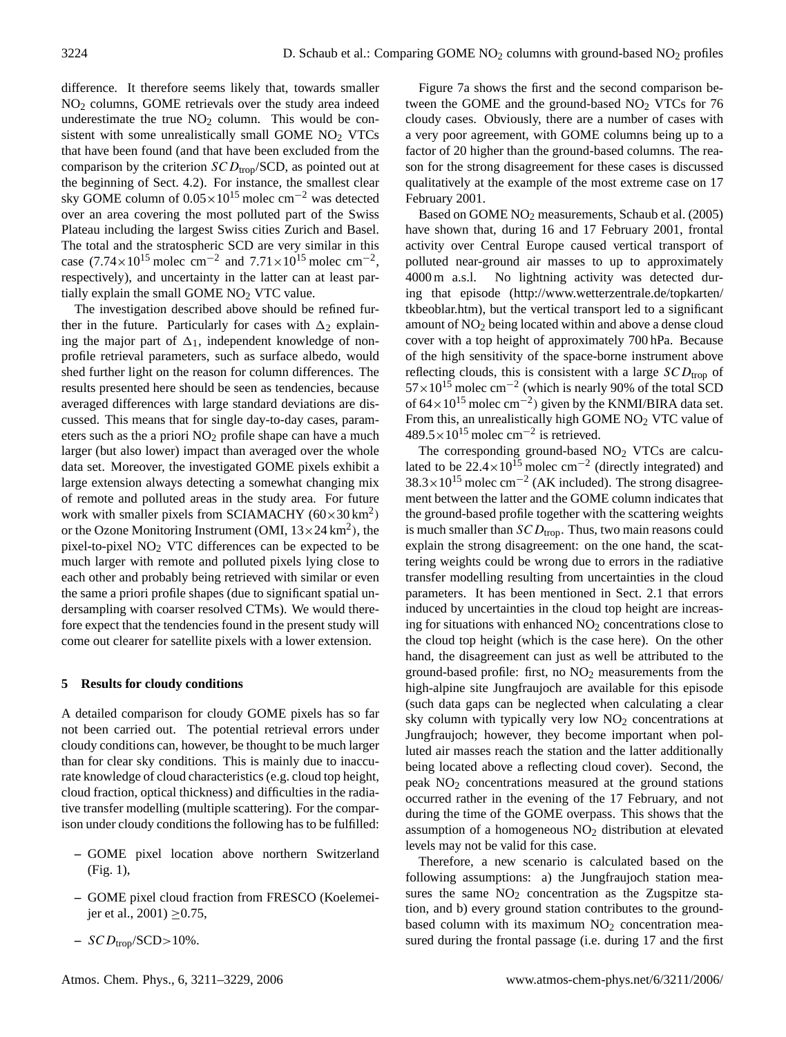difference. It therefore seems likely that, towards smaller NO<sup>2</sup> columns, GOME retrievals over the study area indeed underestimate the true  $NO<sub>2</sub>$  column. This would be consistent with some unrealistically small GOME  $NO<sub>2</sub> VTCs$ that have been found (and that have been excluded from the comparison by the criterion  $SCD_{\text{trop}}/SCD$ , as pointed out at the beginning of Sect. 4.2). For instance, the smallest clear sky GOME column of  $0.05 \times 10^{15}$  molec cm<sup>-2</sup> was detected over an area covering the most polluted part of the Swiss Plateau including the largest Swiss cities Zurich and Basel. The total and the stratospheric SCD are very similar in this case  $(7.74 \times 10^{15} \text{ molec cm}^{-2} \text{ and } 7.71 \times 10^{15} \text{ molec cm}^{-2})$ , respectively), and uncertainty in the latter can at least partially explain the small GOME  $NO<sub>2</sub> VTC$  value.

The investigation described above should be refined further in the future. Particularly for cases with  $\Delta_2$  explaining the major part of  $\Delta_1$ , independent knowledge of nonprofile retrieval parameters, such as surface albedo, would shed further light on the reason for column differences. The results presented here should be seen as tendencies, because averaged differences with large standard deviations are discussed. This means that for single day-to-day cases, parameters such as the a priori  $NO<sub>2</sub>$  profile shape can have a much larger (but also lower) impact than averaged over the whole data set. Moreover, the investigated GOME pixels exhibit a large extension always detecting a somewhat changing mix of remote and polluted areas in the study area. For future work with smaller pixels from SCIAMACHY  $(60 \times 30 \text{ km}^2)$ or the Ozone Monitoring Instrument (OMI,  $13 \times 24 \text{ km}^2$ ), the pixel-to-pixel NO<sup>2</sup> VTC differences can be expected to be much larger with remote and polluted pixels lying close to each other and probably being retrieved with similar or even the same a priori profile shapes (due to significant spatial undersampling with coarser resolved CTMs). We would therefore expect that the tendencies found in the present study will come out clearer for satellite pixels with a lower extension.

## **5 Results for cloudy conditions**

A detailed comparison for cloudy GOME pixels has so far not been carried out. The potential retrieval errors under cloudy conditions can, however, be thought to be much larger than for clear sky conditions. This is mainly due to inaccurate knowledge of cloud characteristics (e.g. cloud top height, cloud fraction, optical thickness) and difficulties in the radiative transfer modelling (multiple scattering). For the comparison under cloudy conditions the following has to be fulfilled:

- **–** GOME pixel location above northern Switzerland (Fig. 1),
- **–** GOME pixel cloud fraction from FRESCO (Koelemeijer et al., 2001)  $\geq$  0.75,
- $-$  SCD<sub>trop</sub>/SCD>10%.

Figure 7a shows the first and the second comparison between the GOME and the ground-based  $NO<sub>2</sub> VTCs$  for 76 cloudy cases. Obviously, there are a number of cases with a very poor agreement, with GOME columns being up to a factor of 20 higher than the ground-based columns. The reason for the strong disagreement for these cases is discussed qualitatively at the example of the most extreme case on 17 February 2001.

Based on GOME NO<sup>2</sup> measurements, Schaub et al. (2005) have shown that, during 16 and 17 February 2001, frontal activity over Central Europe caused vertical transport of polluted near-ground air masses to up to approximately 4000 m a.s.l. No lightning activity was detected during that episode [\(http://www.wetterzentrale.de/topkarten/](http://www.wetterzentrale.de/topkarten/tkbeoblar.htm) [tkbeoblar.htm\)](http://www.wetterzentrale.de/topkarten/tkbeoblar.htm), but the vertical transport led to a significant amount of NO<sup>2</sup> being located within and above a dense cloud cover with a top height of approximately 700 hPa. Because of the high sensitivity of the space-borne instrument above reflecting clouds, this is consistent with a large  $SCD<sub>trop</sub>$  of  $57 \times 10^{15}$  molec cm<sup>-2</sup> (which is nearly 90% of the total SCD of  $64 \times 10^{15}$  molec cm<sup>-2</sup>) given by the KNMI/BIRA data set. From this, an unrealistically high GOME NO<sub>2</sub> VTC value of  $489.5 \times 10^{15}$  molec cm<sup>-2</sup> is retrieved.

The corresponding ground-based NO<sub>2</sub> VTCs are calculated to be  $22.4 \times 10^{15}$  molec cm<sup>-2</sup> (directly integrated) and  $38.3 \times 10^{15}$  molec cm<sup>-2</sup> (AK included). The strong disagreement between the latter and the GOME column indicates that the ground-based profile together with the scattering weights is much smaller than  $SCD_{\text{trop}}$ . Thus, two main reasons could explain the strong disagreement: on the one hand, the scattering weights could be wrong due to errors in the radiative transfer modelling resulting from uncertainties in the cloud parameters. It has been mentioned in Sect. 2.1 that errors induced by uncertainties in the cloud top height are increasing for situations with enhanced  $NO<sub>2</sub>$  concentrations close to the cloud top height (which is the case here). On the other hand, the disagreement can just as well be attributed to the ground-based profile: first, no  $NO<sub>2</sub>$  measurements from the high-alpine site Jungfraujoch are available for this episode (such data gaps can be neglected when calculating a clear sky column with typically very low  $NO<sub>2</sub>$  concentrations at Jungfraujoch; however, they become important when polluted air masses reach the station and the latter additionally being located above a reflecting cloud cover). Second, the peak  $NO<sub>2</sub>$  concentrations measured at the ground stations occurred rather in the evening of the 17 February, and not during the time of the GOME overpass. This shows that the assumption of a homogeneous  $NO<sub>2</sub>$  distribution at elevated levels may not be valid for this case.

Therefore, a new scenario is calculated based on the following assumptions: a) the Jungfraujoch station measures the same  $NO<sub>2</sub>$  concentration as the Zugspitze station, and b) every ground station contributes to the groundbased column with its maximum  $NO<sub>2</sub>$  concentration measured during the frontal passage (i.e. during 17 and the first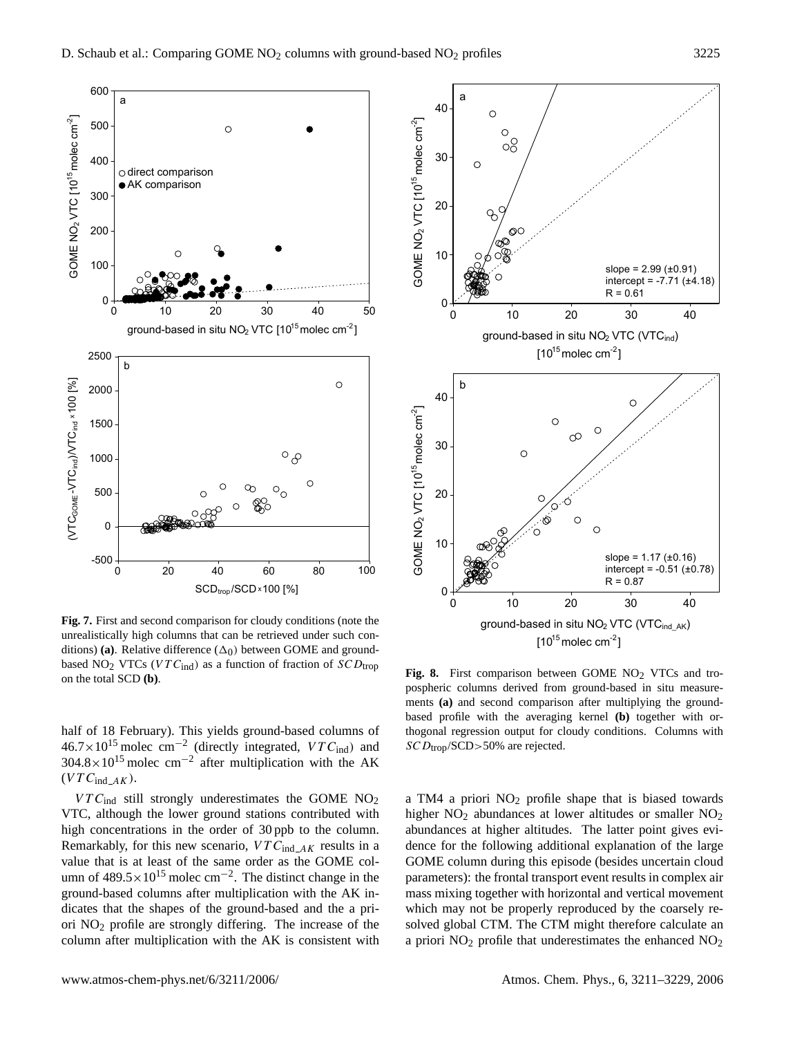

**Fig. 7.** First and second comparison for cloudy conditions (note the unrealistically high columns that can be retrieved under such conditions) (a). Relative difference  $(\Delta_0)$  between GOME and groundbased NO<sub>2</sub> VTCs (VTC<sub>ind</sub>) as a function of fraction of  $SCD_{trop}$ on the total SCD **(b)**.

half of 18 February). This yields ground-based columns of  $46.7 \times 10^{15}$  molec cm<sup>-2</sup> (directly integrated,  $VTC_{\text{ind}}$ ) and  $304.8 \times 10^{15}$  molec cm<sup>-2</sup> after multiplication with the AK  $(VTC_{ind\_AK}).$ 

 $VTC_{ind}$  still strongly underestimates the GOME NO<sub>2</sub> VTC, although the lower ground stations contributed with high concentrations in the order of 30 ppb to the column. Remarkably, for this new scenario,  $VTC_{ind\_AK}$  results in a value that is at least of the same order as the GOME column of  $489.5 \times 10^{15}$  molec cm<sup>-2</sup>. The distinct change in the ground-based columns after multiplication with the AK indicates that the shapes of the ground-based and the a priori NO<sup>2</sup> profile are strongly differing. The increase of the column after multiplication with the AK is consistent with



Fig. 8. First comparison between GOME NO<sub>2</sub> VTCs and tropospheric columns derived from ground-based in situ measurements **(a)** and second comparison after multiplying the groundbased profile with the averaging kernel **(b)** together with orthogonal regression output for cloudy conditions. Columns with  $SCD_{trop}/SCD$  > 50% are rejected.

a TM4 a priori  $NO<sub>2</sub>$  profile shape that is biased towards higher  $NO<sub>2</sub>$  abundances at lower altitudes or smaller  $NO<sub>2</sub>$ abundances at higher altitudes. The latter point gives evidence for the following additional explanation of the large GOME column during this episode (besides uncertain cloud parameters): the frontal transport event results in complex air mass mixing together with horizontal and vertical movement which may not be properly reproduced by the coarsely resolved global CTM. The CTM might therefore calculate an a priori  $NO<sub>2</sub>$  profile that underestimates the enhanced  $NO<sub>2</sub>$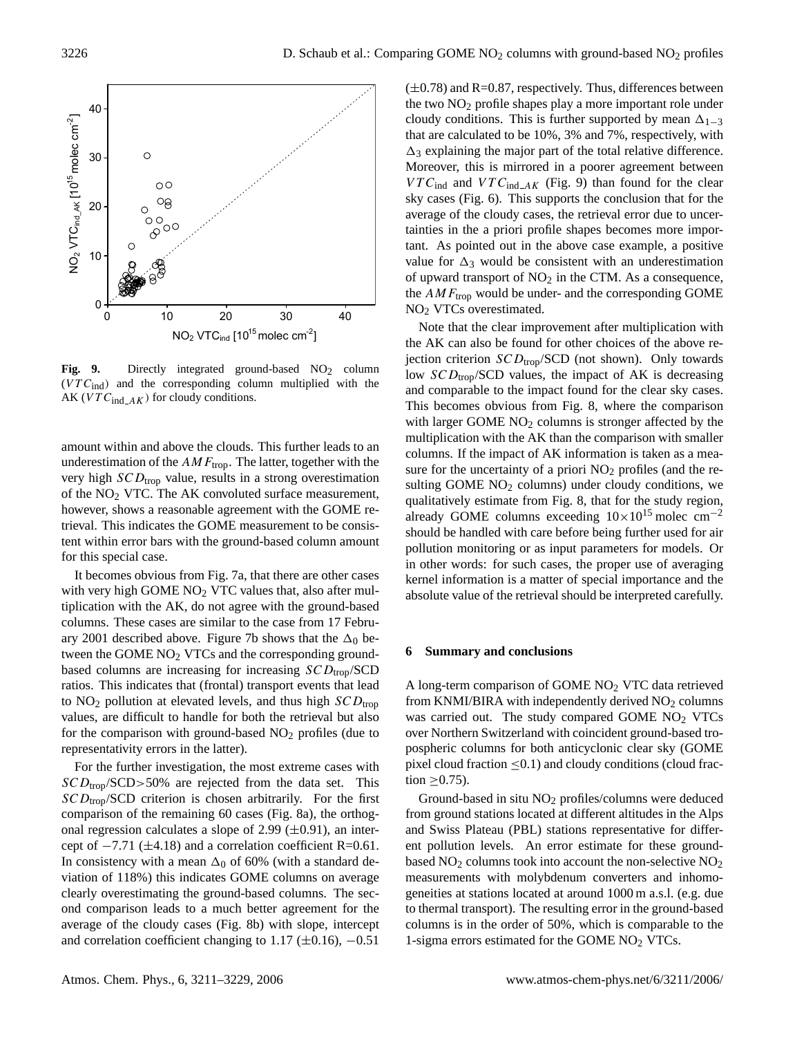

Fig. 9. Directly integrated ground-based NO<sub>2</sub> column  $(VTC_{ind})$  and the corresponding column multiplied with the AK ( $VTC_{ind\_AK}$ ) for cloudy conditions.

amount within and above the clouds. This further leads to an underestimation of the  $AMF_{\text{trop}}$ . The latter, together with the very high  $SCD_{\text{trop}}$  value, results in a strong overestimation of the  $NO<sub>2</sub> VTC$ . The AK convoluted surface measurement, however, shows a reasonable agreement with the GOME retrieval. This indicates the GOME measurement to be consistent within error bars with the ground-based column amount for this special case.

It becomes obvious from Fig. 7a, that there are other cases with very high GOME  $NO<sub>2</sub> VTC$  values that, also after multiplication with the AK, do not agree with the ground-based columns. These cases are similar to the case from 17 February 2001 described above. Figure 7b shows that the  $\Delta_0$  between the GOME NO<sub>2</sub> VTCs and the corresponding groundbased columns are increasing for increasing  $SCD_{\text{trop}}/SCD$ ratios. This indicates that (frontal) transport events that lead to  $NO<sub>2</sub>$  pollution at elevated levels, and thus high  $SCD<sub>tron</sub>$ values, are difficult to handle for both the retrieval but also for the comparison with ground-based  $NO<sub>2</sub>$  profiles (due to representativity errors in the latter).

For the further investigation, the most extreme cases with  $SCD_{\text{trop}}$ /SCD>50% are rejected from the data set. This  $SCD_{\text{trop}}/SCD$  criterion is chosen arbitrarily. For the first comparison of the remaining 60 cases (Fig. 8a), the orthogonal regression calculates a slope of 2.99  $(\pm 0.91)$ , an intercept of  $-7.71$  ( $\pm$ 4.18) and a correlation coefficient R=0.61. In consistency with a mean  $\Delta_0$  of 60% (with a standard deviation of 118%) this indicates GOME columns on average clearly overestimating the ground-based columns. The second comparison leads to a much better agreement for the average of the cloudy cases (Fig. 8b) with slope, intercept and correlation coefficient changing to 1.17 ( $\pm$ 0.16),  $-0.51$ 

 $(\pm 0.78)$  and R=0.87, respectively. Thus, differences between the two  $NO<sub>2</sub>$  profile shapes play a more important role under cloudy conditions. This is further supported by mean  $\Delta_{1-3}$ that are calculated to be 10%, 3% and 7%, respectively, with  $\Delta_3$  explaining the major part of the total relative difference. Moreover, this is mirrored in a poorer agreement between  $VTC_{ind}$  and  $VTC_{ind\_AK}$  (Fig. 9) than found for the clear sky cases (Fig. 6). This supports the conclusion that for the average of the cloudy cases, the retrieval error due to uncertainties in the a priori profile shapes becomes more important. As pointed out in the above case example, a positive value for  $\Delta_3$  would be consistent with an underestimation of upward transport of  $NO<sub>2</sub>$  in the CTM. As a consequence, the  $AMF_{\text{trop}}$  would be under- and the corresponding GOME NO<sup>2</sup> VTCs overestimated.

Note that the clear improvement after multiplication with the AK can also be found for other choices of the above rejection criterion  $SCD_{\text{trop}}/SCD$  (not shown). Only towards low  $SCD_{\text{trop}}/SCD$  values, the impact of AK is decreasing and comparable to the impact found for the clear sky cases. This becomes obvious from Fig. 8, where the comparison with larger GOME  $NO<sub>2</sub>$  columns is stronger affected by the multiplication with the AK than the comparison with smaller columns. If the impact of AK information is taken as a measure for the uncertainty of a priori  $NO<sub>2</sub>$  profiles (and the resulting GOME  $NO<sub>2</sub>$  columns) under cloudy conditions, we qualitatively estimate from Fig. 8, that for the study region, already GOME columns exceeding  $10\times10^{15}$  molec cm<sup>-2</sup> should be handled with care before being further used for air pollution monitoring or as input parameters for models. Or in other words: for such cases, the proper use of averaging kernel information is a matter of special importance and the absolute value of the retrieval should be interpreted carefully.

#### **6 Summary and conclusions**

A long-term comparison of GOME NO<sup>2</sup> VTC data retrieved from KNMI/BIRA with independently derived  $NO<sub>2</sub>$  columns was carried out. The study compared GOME  $NO<sub>2</sub> VTCs$ over Northern Switzerland with coincident ground-based tropospheric columns for both anticyclonic clear sky (GOME pixel cloud fraction  $\leq 0.1$ ) and cloudy conditions (cloud fraction  $>0.75$ ).

Ground-based in situ  $NO<sub>2</sub>$  profiles/columns were deduced from ground stations located at different altitudes in the Alps and Swiss Plateau (PBL) stations representative for different pollution levels. An error estimate for these groundbased  $NO<sub>2</sub>$  columns took into account the non-selective  $NO<sub>2</sub>$ measurements with molybdenum converters and inhomogeneities at stations located at around 1000 m a.s.l. (e.g. due to thermal transport). The resulting error in the ground-based columns is in the order of 50%, which is comparable to the 1-sigma errors estimated for the GOME NO<sup>2</sup> VTCs.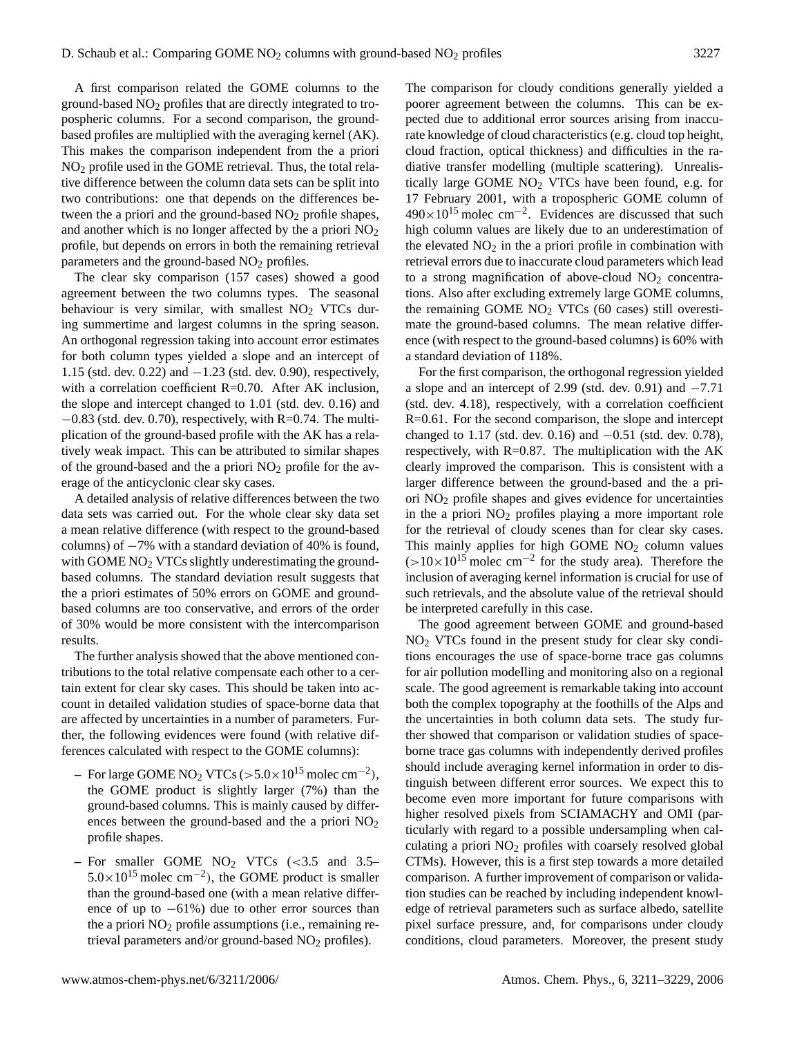A first comparison related the GOME columns to the ground-based NO<sup>2</sup> profiles that are directly integrated to tropospheric columns. For a second comparison, the groundbased profiles are multiplied with the averaging kernel (AK). This makes the comparison independent from the a priori NO<sup>2</sup> profile used in the GOME retrieval. Thus, the total relative difference between the column data sets can be split into two contributions: one that depends on the differences between the a priori and the ground-based  $NO<sub>2</sub>$  profile shapes, and another which is no longer affected by the a priori  $NO<sub>2</sub>$ profile, but depends on errors in both the remaining retrieval parameters and the ground-based  $NO<sub>2</sub>$  profiles.

The clear sky comparison (157 cases) showed a good agreement between the two columns types. The seasonal behaviour is very similar, with smallest  $NO<sub>2</sub>$  VTCs during summertime and largest columns in the spring season. An orthogonal regression taking into account error estimates for both column types yielded a slope and an intercept of 1.15 (std. dev. 0.22) and −1.23 (std. dev. 0.90), respectively, with a correlation coefficient R=0.70. After AK inclusion, the slope and intercept changed to 1.01 (std. dev. 0.16) and  $-0.83$  (std. dev. 0.70), respectively, with R=0.74. The multiplication of the ground-based profile with the AK has a relatively weak impact. This can be attributed to similar shapes of the ground-based and the a priori  $NO<sub>2</sub>$  profile for the average of the anticyclonic clear sky cases.

A detailed analysis of relative differences between the two data sets was carried out. For the whole clear sky data set a mean relative difference (with respect to the ground-based columns) of  $-7\%$  with a standard deviation of 40% is found, with GOME NO<sub>2</sub> VTCs slightly underestimating the groundbased columns. The standard deviation result suggests that the a priori estimates of 50% errors on GOME and groundbased columns are too conservative, and errors of the order of 30% would be more consistent with the intercomparison results.

The further analysis showed that the above mentioned contributions to the total relative compensate each other to a certain extent for clear sky cases. This should be taken into account in detailed validation studies of space-borne data that are affected by uncertainties in a number of parameters. Further, the following evidences were found (with relative differences calculated with respect to the GOME columns):

- **–** For large GOME NO<sup>2</sup> VTCs (>5.0×10<sup>15</sup> molec cm−<sup>2</sup> ), the GOME product is slightly larger (7%) than the ground-based columns. This is mainly caused by differences between the ground-based and the a priori  $NO<sub>2</sub>$ profile shapes.
- **–** For smaller GOME NO<sup>2</sup> VTCs (<3.5 and 3.5–  $5.0 \times 10^{15}$  molec cm<sup>-2</sup>), the GOME product is smaller than the ground-based one (with a mean relative difference of up to  $-61\%$ ) due to other error sources than the a priori  $NO<sub>2</sub>$  profile assumptions (i.e., remaining retrieval parameters and/or ground-based  $NO<sub>2</sub>$  profiles).

The comparison for cloudy conditions generally yielded a poorer agreement between the columns. This can be expected due to additional error sources arising from inaccurate knowledge of cloud characteristics (e.g. cloud top height, cloud fraction, optical thickness) and difficulties in the radiative transfer modelling (multiple scattering). Unrealistically large GOME NO<sup>2</sup> VTCs have been found, e.g. for 17 February 2001, with a tropospheric GOME column of  $490\times10^{15}$  molec cm<sup>-2</sup>. Evidences are discussed that such high column values are likely due to an underestimation of the elevated  $NO<sub>2</sub>$  in the a priori profile in combination with retrieval errors due to inaccurate cloud parameters which lead to a strong magnification of above-cloud  $NO<sub>2</sub>$  concentrations. Also after excluding extremely large GOME columns, the remaining GOME  $NO<sub>2</sub> VTCs$  (60 cases) still overestimate the ground-based columns. The mean relative difference (with respect to the ground-based columns) is 60% with a standard deviation of 118%.

For the first comparison, the orthogonal regression yielded a slope and an intercept of 2.99 (std. dev. 0.91) and −7.71 (std. dev. 4.18), respectively, with a correlation coefficient R=0.61. For the second comparison, the slope and intercept changed to 1.17 (std. dev. 0.16) and  $-0.51$  (std. dev. 0.78), respectively, with  $R=0.87$ . The multiplication with the AK clearly improved the comparison. This is consistent with a larger difference between the ground-based and the a priori NO<sup>2</sup> profile shapes and gives evidence for uncertainties in the a priori  $NO<sub>2</sub>$  profiles playing a more important role for the retrieval of cloudy scenes than for clear sky cases. This mainly applies for high GOME  $NO<sub>2</sub>$  column values  $(>10\times10^{15} \text{ molecule cm}^{-2}$  for the study area). Therefore the inclusion of averaging kernel information is crucial for use of such retrievals, and the absolute value of the retrieval should be interpreted carefully in this case.

The good agreement between GOME and ground-based NO<sup>2</sup> VTCs found in the present study for clear sky conditions encourages the use of space-borne trace gas columns for air pollution modelling and monitoring also on a regional scale. The good agreement is remarkable taking into account both the complex topography at the foothills of the Alps and the uncertainties in both column data sets. The study further showed that comparison or validation studies of spaceborne trace gas columns with independently derived profiles should include averaging kernel information in order to distinguish between different error sources. We expect this to become even more important for future comparisons with higher resolved pixels from SCIAMACHY and OMI (particularly with regard to a possible undersampling when calculating a priori  $NO<sub>2</sub>$  profiles with coarsely resolved global CTMs). However, this is a first step towards a more detailed comparison. A further improvement of comparison or validation studies can be reached by including independent knowledge of retrieval parameters such as surface albedo, satellite pixel surface pressure, and, for comparisons under cloudy conditions, cloud parameters. Moreover, the present study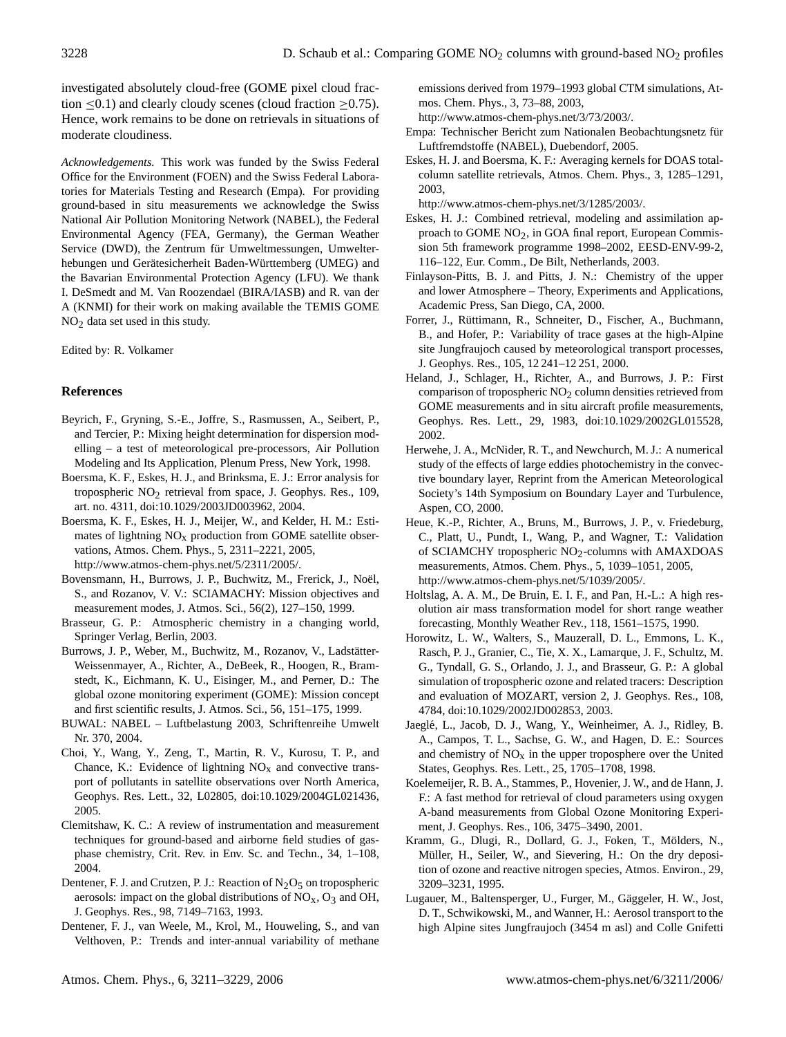investigated absolutely cloud-free (GOME pixel cloud fraction  $\leq 0.1$ ) and clearly cloudy scenes (cloud fraction  $\geq 0.75$ ). Hence, work remains to be done on retrievals in situations of moderate cloudiness.

*Acknowledgements.* This work was funded by the Swiss Federal Office for the Environment (FOEN) and the Swiss Federal Laboratories for Materials Testing and Research (Empa). For providing ground-based in situ measurements we acknowledge the Swiss National Air Pollution Monitoring Network (NABEL), the Federal Environmental Agency (FEA, Germany), the German Weather Service (DWD), the Zentrum für Umweltmessungen, Umwelterhebungen und Gerätesicherheit Baden-Württemberg (UMEG) and the Bavarian Environmental Protection Agency (LFU). We thank I. DeSmedt and M. Van Roozendael (BIRA/IASB) and R. van der A (KNMI) for their work on making available the TEMIS GOME  $NO<sub>2</sub>$  data set used in this study.

## Edited by: R. Volkamer

# **References**

- Beyrich, F., Gryning, S.-E., Joffre, S., Rasmussen, A., Seibert, P., and Tercier, P.: Mixing height determination for dispersion modelling – a test of meteorological pre-processors, Air Pollution Modeling and Its Application, Plenum Press, New York, 1998.
- Boersma, K. F., Eskes, H. J., and Brinksma, E. J.: Error analysis for tropospheric NO2 retrieval from space, J. Geophys. Res., 109, art. no. 4311, doi:10.1029/2003JD003962, 2004.
- Boersma, K. F., Eskes, H. J., Meijer, W., and Kelder, H. M.: Estimates of lightning  $NO<sub>x</sub>$  production from GOME satellite observations, Atmos. Chem. Phys., 5, 2311–2221, 2005, [http://www.atmos-chem-phys.net/5/2311/2005/.](http://www.atmos-chem-phys.net/5/2311/2005/)
- Bovensmann, H., Burrows, J. P., Buchwitz, M., Frerick, J., Noël, S., and Rozanov, V. V.: SCIAMACHY: Mission objectives and measurement modes, J. Atmos. Sci., 56(2), 127–150, 1999.
- Brasseur, G. P.: Atmospheric chemistry in a changing world, Springer Verlag, Berlin, 2003.
- Burrows, J. P., Weber, M., Buchwitz, M., Rozanov, V., Ladstätter-Weissenmayer, A., Richter, A., DeBeek, R., Hoogen, R., Bramstedt, K., Eichmann, K. U., Eisinger, M., and Perner, D.: The global ozone monitoring experiment (GOME): Mission concept and first scientific results, J. Atmos. Sci., 56, 151–175, 1999.
- BUWAL: NABEL Luftbelastung 2003, Schriftenreihe Umwelt Nr. 370, 2004.
- Choi, Y., Wang, Y., Zeng, T., Martin, R. V., Kurosu, T. P., and Chance, K.: Evidence of lightning  $NO<sub>x</sub>$  and convective transport of pollutants in satellite observations over North America, Geophys. Res. Lett., 32, L02805, doi:10.1029/2004GL021436, 2005.
- Clemitshaw, K. C.: A review of instrumentation and measurement techniques for ground-based and airborne field studies of gasphase chemistry, Crit. Rev. in Env. Sc. and Techn., 34, 1–108, 2004.
- Dentener, F. J. and Crutzen, P. J.: Reaction of  $N_2O_5$  on tropospheric aerosols: impact on the global distributions of  $NO<sub>x</sub>$ ,  $O<sub>3</sub>$  and OH, J. Geophys. Res., 98, 7149–7163, 1993.
- Dentener, F. J., van Weele, M., Krol, M., Houweling, S., and van Velthoven, P.: Trends and inter-annual variability of methane

emissions derived from 1979–1993 global CTM simulations, Atmos. Chem. Phys., 3, 73–88, 2003,

[http://www.atmos-chem-phys.net/3/73/2003/.](http://www.atmos-chem-phys.net/3/73/2003/)

- Empa: Technischer Bericht zum Nationalen Beobachtungsnetz für Luftfremdstoffe (NABEL), Duebendorf, 2005.
- Eskes, H. J. and Boersma, K. F.: Averaging kernels for DOAS totalcolumn satellite retrievals, Atmos. Chem. Phys., 3, 1285–1291, 2003,

[http://www.atmos-chem-phys.net/3/1285/2003/.](http://www.atmos-chem-phys.net/3/1285/2003/)

- Eskes, H. J.: Combined retrieval, modeling and assimilation approach to GOME NO2, in GOA final report, European Commission 5th framework programme 1998–2002, EESD-ENV-99-2, 116–122, Eur. Comm., De Bilt, Netherlands, 2003.
- Finlayson-Pitts, B. J. and Pitts, J. N.: Chemistry of the upper and lower Atmosphere – Theory, Experiments and Applications, Academic Press, San Diego, CA, 2000.
- Forrer, J., Rüttimann, R., Schneiter, D., Fischer, A., Buchmann, B., and Hofer, P.: Variability of trace gases at the high-Alpine site Jungfraujoch caused by meteorological transport processes, J. Geophys. Res., 105, 12 241–12 251, 2000.
- Heland, J., Schlager, H., Richter, A., and Burrows, J. P.: First comparison of tropospheric  $NO<sub>2</sub>$  column densities retrieved from GOME measurements and in situ aircraft profile measurements, Geophys. Res. Lett., 29, 1983, doi:10.1029/2002GL015528, 2002.
- Herwehe, J. A., McNider, R. T., and Newchurch, M. J.: A numerical study of the effects of large eddies photochemistry in the convective boundary layer, Reprint from the American Meteorological Society's 14th Symposium on Boundary Layer and Turbulence, Aspen, CO, 2000.
- Heue, K.-P., Richter, A., Bruns, M., Burrows, J. P., v. Friedeburg, C., Platt, U., Pundt, I., Wang, P., and Wagner, T.: Validation of SCIAMCHY tropospheric  $NO<sub>2</sub>$ -columns with AMAXDOAS measurements, Atmos. Chem. Phys., 5, 1039–1051, 2005, [http://www.atmos-chem-phys.net/5/1039/2005/.](http://www.atmos-chem-phys.net/5/1039/2005/)
- Holtslag, A. A. M., De Bruin, E. I. F., and Pan, H.-L.: A high resolution air mass transformation model for short range weather forecasting, Monthly Weather Rev., 118, 1561–1575, 1990.
- Horowitz, L. W., Walters, S., Mauzerall, D. L., Emmons, L. K., Rasch, P. J., Granier, C., Tie, X. X., Lamarque, J. F., Schultz, M. G., Tyndall, G. S., Orlando, J. J., and Brasseur, G. P.: A global simulation of tropospheric ozone and related tracers: Description and evaluation of MOZART, version 2, J. Geophys. Res., 108, 4784, doi:10.1029/2002JD002853, 2003.
- Jaegle, L., Jacob, D. J., Wang, Y., Weinheimer, A. J., Ridley, B. ´ A., Campos, T. L., Sachse, G. W., and Hagen, D. E.: Sources and chemistry of  $NO<sub>x</sub>$  in the upper troposphere over the United States, Geophys. Res. Lett., 25, 1705–1708, 1998.
- Koelemeijer, R. B. A., Stammes, P., Hovenier, J. W., and de Hann, J. F.: A fast method for retrieval of cloud parameters using oxygen A-band measurements from Global Ozone Monitoring Experiment, J. Geophys. Res., 106, 3475–3490, 2001.
- Kramm, G., Dlugi, R., Dollard, G. J., Foken, T., Mölders, N., Müller, H., Seiler, W., and Sievering, H.: On the dry deposition of ozone and reactive nitrogen species, Atmos. Environ., 29, 3209–3231, 1995.
- Lugauer, M., Baltensperger, U., Furger, M., Gäggeler, H. W., Jost, D. T., Schwikowski, M., and Wanner, H.: Aerosol transport to the high Alpine sites Jungfraujoch (3454 m asl) and Colle Gnifetti